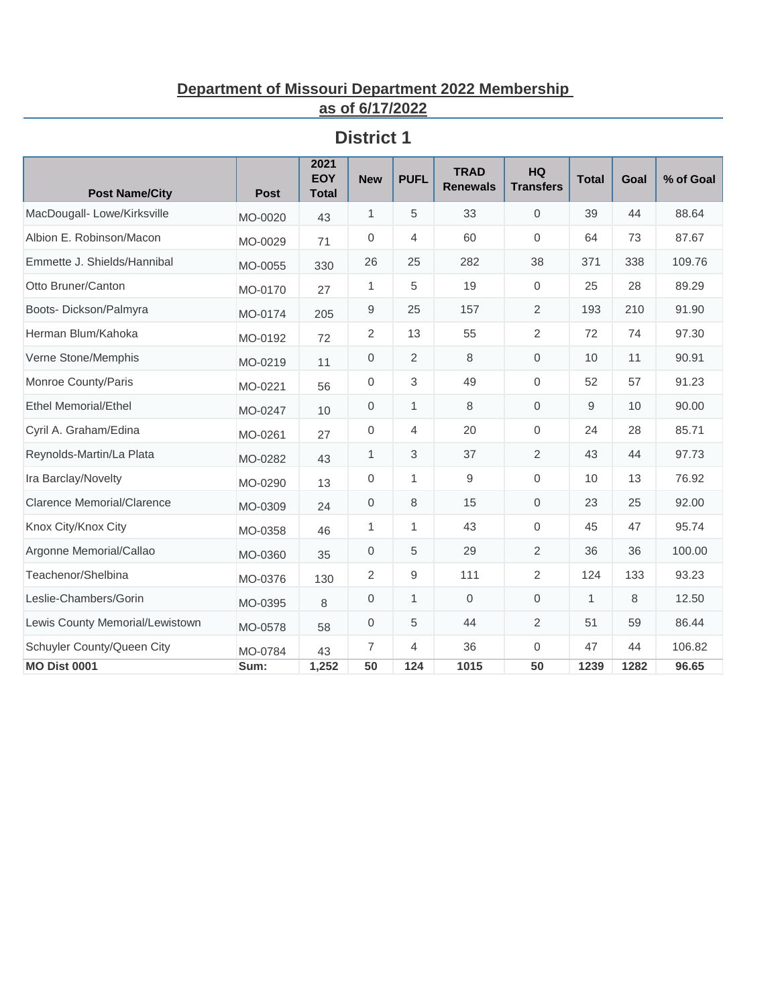#### **Department of Missouri Department 2022 Membership as of 6/17/2022**

| <b>Post Name/City</b>             | <b>Post</b> | 2021<br><b>EOY</b><br><b>Total</b> | <b>New</b>       | <b>PUFL</b>    | <b>TRAD</b><br><b>Renewals</b> | <b>HQ</b><br><b>Transfers</b> | <b>Total</b> | Goal | % of Goal |
|-----------------------------------|-------------|------------------------------------|------------------|----------------|--------------------------------|-------------------------------|--------------|------|-----------|
| MacDougall-Lowe/Kirksville        | MO-0020     | 43                                 | 1                | 5              | 33                             | $\mathbf 0$                   | 39           | 44   | 88.64     |
| Albion E. Robinson/Macon          | MO-0029     | 71                                 | $\mathbf 0$      | 4              | 60                             | $\Omega$                      | 64           | 73   | 87.67     |
| Emmette J. Shields/Hannibal       | MO-0055     | 330                                | 26               | 25             | 282                            | 38                            | 371          | 338  | 109.76    |
| Otto Bruner/Canton                | MO-0170     | 27                                 | 1                | 5              | 19                             | $\mathbf{0}$                  | 25           | 28   | 89.29     |
| Boots-Dickson/Palmyra             | MO-0174     | 205                                | 9                | 25             | 157                            | $\overline{2}$                | 193          | 210  | 91.90     |
| Herman Blum/Kahoka                | MO-0192     | 72                                 | 2                | 13             | 55                             | $\overline{2}$                | 72           | 74   | 97.30     |
| Verne Stone/Memphis               | MO-0219     | 11                                 | $\mathbf 0$      | 2              | 8                              | $\mathbf 0$                   | 10           | 11   | 90.91     |
| Monroe County/Paris               | MO-0221     | 56                                 | $\mathbf{0}$     | 3              | 49                             | $\Omega$                      | 52           | 57   | 91.23     |
| <b>Ethel Memorial/Ethel</b>       | MO-0247     | 10                                 | $\mathbf 0$      | 1              | 8                              | $\mathbf 0$                   | 9            | 10   | 90.00     |
| Cyril A. Graham/Edina             | MO-0261     | 27                                 | $\mathbf 0$      | $\overline{4}$ | 20                             | $\Omega$                      | 24           | 28   | 85.71     |
| Reynolds-Martin/La Plata          | MO-0282     | 43                                 | 1                | 3              | 37                             | 2                             | 43           | 44   | 97.73     |
| Ira Barclay/Novelty               | MO-0290     | 13                                 | $\mathbf 0$      | 1              | 9                              | $\mathbf{0}$                  | 10           | 13   | 76.92     |
| <b>Clarence Memorial/Clarence</b> | MO-0309     | 24                                 | 0                | 8              | 15                             | $\mathbf 0$                   | 23           | 25   | 92.00     |
| Knox City/Knox City               | MO-0358     | 46                                 | 1                | $\mathbf{1}$   | 43                             | $\mathbf{0}$                  | 45           | 47   | 95.74     |
| Argonne Memorial/Callao           | MO-0360     | 35                                 | $\mathbf 0$      | 5              | 29                             | $\overline{2}$                | 36           | 36   | 100.00    |
| Teachenor/Shelbina                | MO-0376     | 130                                | 2                | 9              | 111                            | $\overline{2}$                | 124          | 133  | 93.23     |
| Leslie-Chambers/Gorin             | MO-0395     | 8                                  | $\boldsymbol{0}$ | $\mathbf{1}$   | $\mathbf{0}$                   | $\mathbf 0$                   | $\mathbf{1}$ | 8    | 12.50     |
| Lewis County Memorial/Lewistown   | MO-0578     | 58                                 | $\mathbf{0}$     | 5              | 44                             | 2                             | 51           | 59   | 86.44     |
| Schuyler County/Queen City        | MO-0784     | 43                                 | $\overline{7}$   | $\overline{4}$ | 36                             | $\mathbf{0}$                  | 47           | 44   | 106.82    |
| <b>MO Dist 0001</b>               | Sum:        | 1,252                              | 50               | 124            | 1015                           | 50                            | 1239         | 1282 | 96.65     |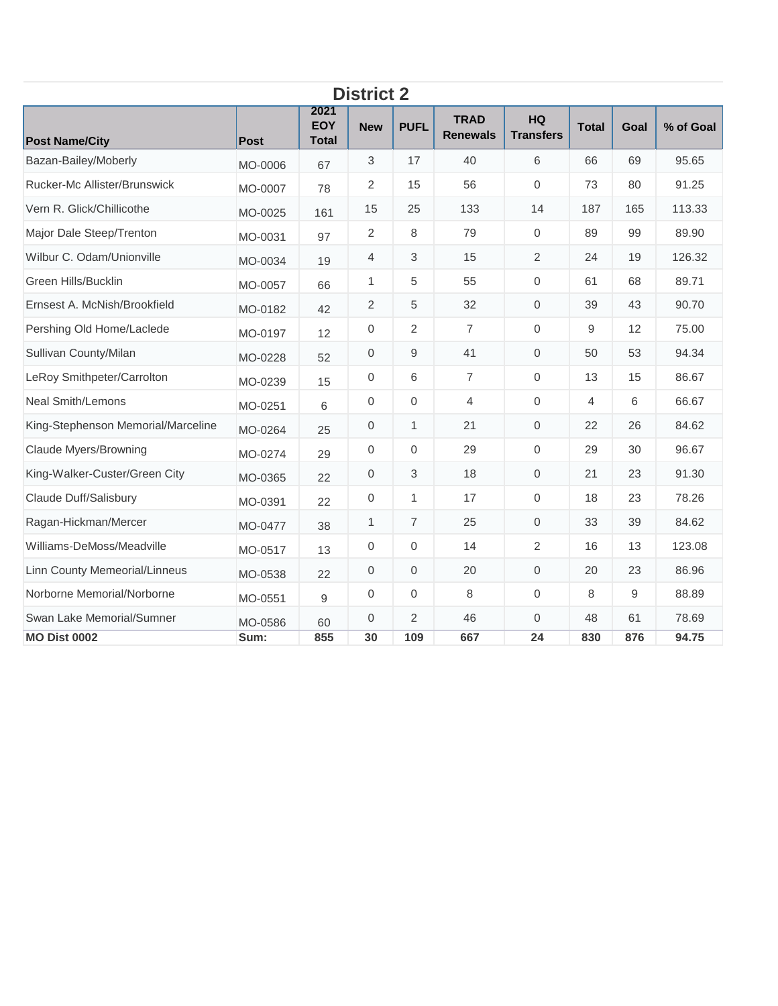| <b>District 2</b>                  |             |                                    |                     |                |                                |                               |              |      |           |  |  |  |
|------------------------------------|-------------|------------------------------------|---------------------|----------------|--------------------------------|-------------------------------|--------------|------|-----------|--|--|--|
| <b>Post Name/City</b>              | <b>Post</b> | 2021<br><b>EOY</b><br><b>Total</b> | <b>New</b>          | <b>PUFL</b>    | <b>TRAD</b><br><b>Renewals</b> | <b>HQ</b><br><b>Transfers</b> | <b>Total</b> | Goal | % of Goal |  |  |  |
| Bazan-Bailey/Moberly               | MO-0006     | 67                                 | 3                   | 17             | 40                             | 6                             | 66           | 69   | 95.65     |  |  |  |
| Rucker-Mc Allister/Brunswick       | MO-0007     | 78                                 | $\overline{2}$      | 15             | 56                             | $\mathbf 0$                   | 73           | 80   | 91.25     |  |  |  |
| Vern R. Glick/Chillicothe          | MO-0025     | 161                                | 15                  | 25             | 133                            | 14                            | 187          | 165  | 113.33    |  |  |  |
| Major Dale Steep/Trenton           | MO-0031     | 97                                 | 2                   | 8              | 79                             | $\mathbf{0}$                  | 89           | 99   | 89.90     |  |  |  |
| Wilbur C. Odam/Unionville          | MO-0034     | 19                                 | $\overline{4}$      | 3              | 15                             | 2                             | 24           | 19   | 126.32    |  |  |  |
| Green Hills/Bucklin                | MO-0057     | 66                                 | 1                   | 5              | 55                             | $\mathbf 0$                   | 61           | 68   | 89.71     |  |  |  |
| Ernsest A. McNish/Brookfield       | MO-0182     | 42                                 | 2                   | 5              | 32                             | $\mathbf{0}$                  | 39           | 43   | 90.70     |  |  |  |
| Pershing Old Home/Laclede          | MO-0197     | 12                                 | $\mathbf{0}$        | $\overline{2}$ | $\overline{7}$                 | $\mathbf 0$                   | 9            | 12   | 75.00     |  |  |  |
| Sullivan County/Milan              | MO-0228     | 52                                 | $\mathbf 0$         | 9              | 41                             | 0                             | 50           | 53   | 94.34     |  |  |  |
| LeRoy Smithpeter/Carrolton         | MO-0239     | 15                                 | $\mathbf 0$         | 6              | $\overline{7}$                 | $\Omega$                      | 13           | 15   | 86.67     |  |  |  |
| <b>Neal Smith/Lemons</b>           | MO-0251     | 6                                  | 0                   | $\mathbf 0$    | $\overline{4}$                 | 0                             | 4            | 6    | 66.67     |  |  |  |
| King-Stephenson Memorial/Marceline | MO-0264     | 25                                 | $\mathbf{0}$        | 1              | 21                             | $\mathbf{0}$                  | 22           | 26   | 84.62     |  |  |  |
| <b>Claude Myers/Browning</b>       | MO-0274     | 29                                 | 0                   | $\mathbf 0$    | 29                             | $\mathbf{0}$                  | 29           | 30   | 96.67     |  |  |  |
| King-Walker-Custer/Green City      | MO-0365     | 22                                 | $\mathsf{O}\xspace$ | 3              | 18                             | $\mathsf{O}\xspace$           | 21           | 23   | 91.30     |  |  |  |
| Claude Duff/Salisbury              | MO-0391     | 22                                 | $\mathbf{0}$        | 1              | 17                             | $\Omega$                      | 18           | 23   | 78.26     |  |  |  |
| Ragan-Hickman/Mercer               | MO-0477     | 38                                 | 1                   | $\overline{7}$ | 25                             | 0                             | 33           | 39   | 84.62     |  |  |  |
| Williams-DeMoss/Meadville          | MO-0517     | 13                                 | $\boldsymbol{0}$    | $\mathbf 0$    | 14                             | $\overline{2}$                | 16           | 13   | 123.08    |  |  |  |
| Linn County Memeorial/Linneus      | MO-0538     | 22                                 | $\mathbf 0$         | $\mathbf 0$    | 20                             | $\mathbf{0}$                  | 20           | 23   | 86.96     |  |  |  |
| Norborne Memorial/Norborne         | MO-0551     | 9                                  | $\mathbf 0$         | $\mathbf 0$    | 8                              | $\mathbf{0}$                  | 8            | 9    | 88.89     |  |  |  |
| Swan Lake Memorial/Sumner          | MO-0586     | 60                                 | $\mathbf{0}$        | 2              | 46                             | $\Omega$                      | 48           | 61   | 78.69     |  |  |  |
| <b>MO Dist 0002</b>                | Sum:        | 855                                | 30                  | 109            | 667                            | 24                            | 830          | 876  | 94.75     |  |  |  |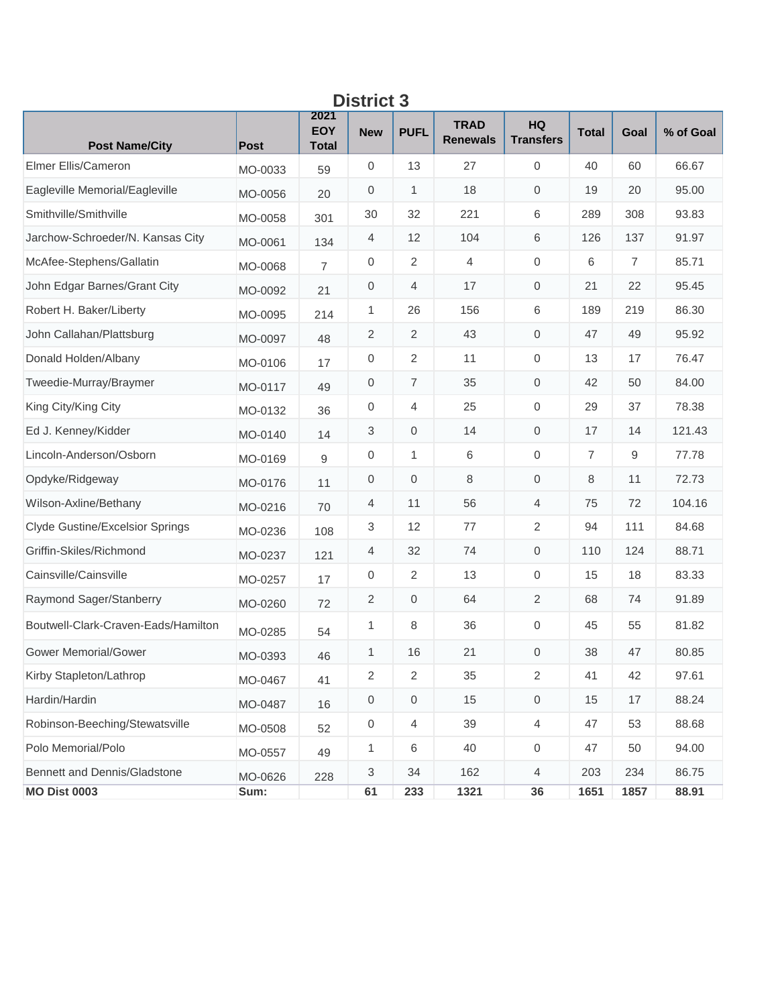| ט ואוואוש                              |             |                                    |                           |                     |                                |                        |                |                |           |  |  |  |
|----------------------------------------|-------------|------------------------------------|---------------------------|---------------------|--------------------------------|------------------------|----------------|----------------|-----------|--|--|--|
| <b>Post Name/City</b>                  | <b>Post</b> | 2021<br><b>EOY</b><br><b>Total</b> | <b>New</b>                | <b>PUFL</b>         | <b>TRAD</b><br><b>Renewals</b> | HQ<br><b>Transfers</b> | <b>Total</b>   | Goal           | % of Goal |  |  |  |
| Elmer Ellis/Cameron                    | MO-0033     | 59                                 | 0                         | 13                  | 27                             | $\mathbf 0$            | 40             | 60             | 66.67     |  |  |  |
| Eagleville Memorial/Eagleville         | MO-0056     | 20                                 | $\mathbf 0$               | 1                   | 18                             | $\mathbf 0$            | 19             | 20             | 95.00     |  |  |  |
| Smithville/Smithville                  | MO-0058     | 301                                | 30                        | 32                  | 221                            | 6                      | 289            | 308            | 93.83     |  |  |  |
| Jarchow-Schroeder/N. Kansas City       | MO-0061     | 134                                | 4                         | 12                  | 104                            | 6                      | 126            | 137            | 91.97     |  |  |  |
| McAfee-Stephens/Gallatin               | MO-0068     | 7                                  | $\mathbf 0$               | $\overline{2}$      | $\overline{4}$                 | $\mathbf 0$            | 6              | $\overline{7}$ | 85.71     |  |  |  |
| John Edgar Barnes/Grant City           | MO-0092     | 21                                 | $\mathbf 0$               | 4                   | 17                             | $\mathbf 0$            | 21             | 22             | 95.45     |  |  |  |
| Robert H. Baker/Liberty                | MO-0095     | 214                                | 1                         | 26                  | 156                            | 6                      | 189            | 219            | 86.30     |  |  |  |
| John Callahan/Plattsburg               | MO-0097     | 48                                 | $\sqrt{2}$                | $\overline{2}$      | 43                             | $\mathbf 0$            | 47             | 49             | 95.92     |  |  |  |
| Donald Holden/Albany                   | MO-0106     | 17                                 | $\mathbf 0$               | 2                   | 11                             | $\mathbf 0$            | 13             | 17             | 76.47     |  |  |  |
| Tweedie-Murray/Braymer                 | MO-0117     | 49                                 | 0                         | $\boldsymbol{7}$    | 35                             | $\mathbf 0$            | 42             | 50             | 84.00     |  |  |  |
| King City/King City                    | MO-0132     | 36                                 | 0                         | 4                   | 25                             | $\mathbf 0$            | 29             | 37             | 78.38     |  |  |  |
| Ed J. Kenney/Kidder                    | MO-0140     | 14                                 | 3                         | $\mathbf 0$         | 14                             | $\mathbf 0$            | 17             | 14             | 121.43    |  |  |  |
| Lincoln-Anderson/Osborn                | MO-0169     | 9                                  | 0                         | 1                   | 6                              | 0                      | $\overline{7}$ | 9              | 77.78     |  |  |  |
| Opdyke/Ridgeway                        | MO-0176     | 11                                 | 0                         | 0                   | 8                              | $\mathbf 0$            | 8              | 11             | 72.73     |  |  |  |
| Wilson-Axline/Bethany                  | MO-0216     | 70                                 | 4                         | 11                  | 56                             | $\overline{4}$         | 75             | 72             | 104.16    |  |  |  |
| <b>Clyde Gustine/Excelsior Springs</b> | MO-0236     | 108                                | $\sqrt{3}$                | 12                  | 77                             | $\sqrt{2}$             | 94             | 111            | 84.68     |  |  |  |
| Griffin-Skiles/Richmond                | MO-0237     | 121                                | 4                         | 32                  | 74                             | $\mathbf 0$            | 110            | 124            | 88.71     |  |  |  |
| Cainsville/Cainsville                  | MO-0257     | 17                                 | $\,0\,$                   | $\overline{2}$      | 13                             | $\mathbf 0$            | 15             | 18             | 83.33     |  |  |  |
| Raymond Sager/Stanberry                | MO-0260     | 72                                 | $\sqrt{2}$                | 0                   | 64                             | 2                      | 68             | 74             | 91.89     |  |  |  |
| Boutwell-Clark-Craven-Eads/Hamilton    | MO-0285     | 54                                 | 1                         | 8                   | 36                             | $\mathbf 0$            | 45             | 55             | 81.82     |  |  |  |
| <b>Gower Memorial/Gower</b>            | MO-0393     | 46                                 | 1                         | 16                  | 21                             | $\mathbf 0$            | 38             | 47             | 80.85     |  |  |  |
| Kirby Stapleton/Lathrop                | MO-0467     | 41                                 | 2                         | 2                   | 35                             | 2                      | 41             | 42             | 97.61     |  |  |  |
| Hardin/Hardin                          | MO-0487     | 16                                 | $\,0\,$                   | $\mathsf{O}\xspace$ | 15                             | $\mathsf{O}\xspace$    | 15             | 17             | 88.24     |  |  |  |
| Robinson-Beeching/Stewatsville         | MO-0508     | 52                                 | $\,0\,$                   | 4                   | 39                             | $\overline{4}$         | 47             | 53             | 88.68     |  |  |  |
| Polo Memorial/Polo                     | MO-0557     | 49                                 | 1                         | 6                   | 40                             | $\,0\,$                | 47             | 50             | 94.00     |  |  |  |
| Bennett and Dennis/Gladstone           | MO-0626     | 228                                | $\ensuremath{\mathsf{3}}$ | 34                  | 162                            | $\overline{4}$         | 203            | 234            | 86.75     |  |  |  |
| <b>MO Dist 0003</b>                    | Sum:        |                                    | 61                        | 233                 | 1321                           | 36                     | 1651           | 1857           | 88.91     |  |  |  |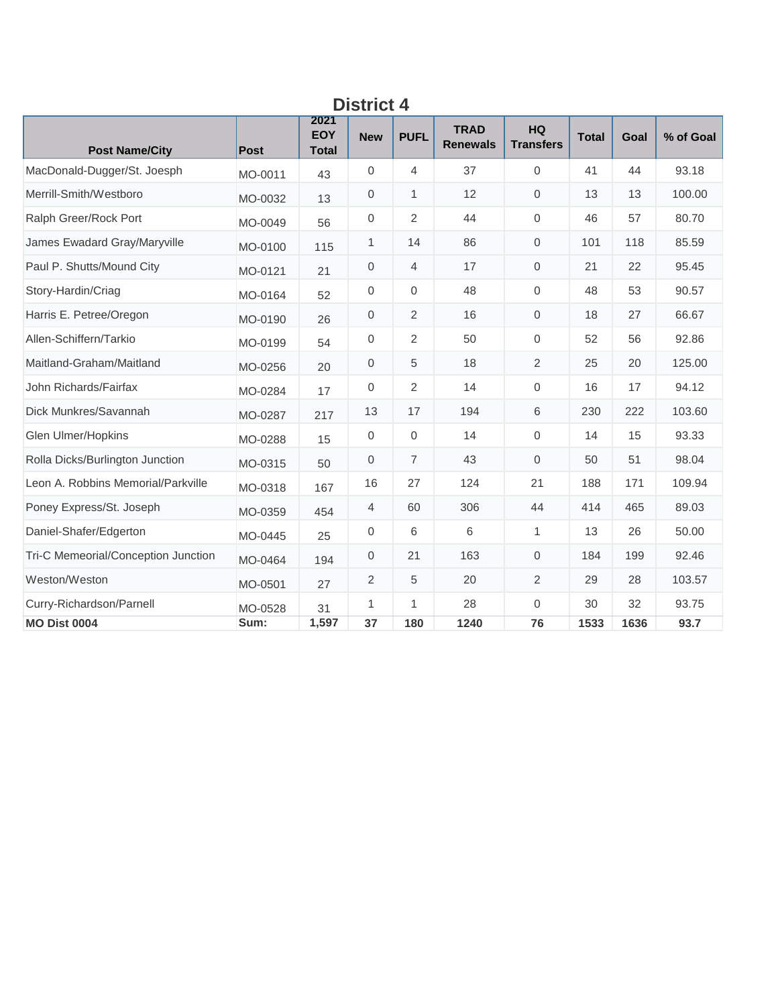| <b>District 4</b>                   |         |                                    |                |                |                                |                               |              |      |           |  |  |  |
|-------------------------------------|---------|------------------------------------|----------------|----------------|--------------------------------|-------------------------------|--------------|------|-----------|--|--|--|
| <b>Post Name/City</b>               | Post    | 2021<br><b>EOY</b><br><b>Total</b> | <b>New</b>     | <b>PUFL</b>    | <b>TRAD</b><br><b>Renewals</b> | <b>HQ</b><br><b>Transfers</b> | <b>Total</b> | Goal | % of Goal |  |  |  |
| MacDonald-Dugger/St. Joesph         | MO-0011 | 43                                 | $\overline{0}$ | 4              | 37                             | $\Omega$                      | 41           | 44   | 93.18     |  |  |  |
| Merrill-Smith/Westboro              | MO-0032 | 13                                 | $\mathbf 0$    | 1              | 12                             | $\mathbf 0$                   | 13           | 13   | 100.00    |  |  |  |
| Ralph Greer/Rock Port               | MO-0049 | 56                                 | $\mathbf{0}$   | $\overline{2}$ | 44                             | $\Omega$                      | 46           | 57   | 80.70     |  |  |  |
| James Ewadard Gray/Maryville        | MO-0100 | 115                                | 1              | 14             | 86                             | $\mathbf 0$                   | 101          | 118  | 85.59     |  |  |  |
| Paul P. Shutts/Mound City           | MO-0121 | 21                                 | $\mathbf 0$    | $\overline{4}$ | 17                             | $\mathbf 0$                   | 21           | 22   | 95.45     |  |  |  |
| Story-Hardin/Criag                  | MO-0164 | 52                                 | $\mathbf{0}$   | 0              | 48                             | $\mathbf 0$                   | 48           | 53   | 90.57     |  |  |  |
| Harris E. Petree/Oregon             | MO-0190 | 26                                 | $\mathbf 0$    | 2              | 16                             | $\mathbf 0$                   | 18           | 27   | 66.67     |  |  |  |
| Allen-Schiffern/Tarkio              | MO-0199 | 54                                 | $\mathbf 0$    | $\overline{2}$ | 50                             | $\mathbf{0}$                  | 52           | 56   | 92.86     |  |  |  |
| Maitland-Graham/Maitland            | MO-0256 | 20                                 | $\mathbf{0}$   | 5              | 18                             | 2                             | 25           | 20   | 125.00    |  |  |  |
| John Richards/Fairfax               | MO-0284 | 17                                 | $\mathbf 0$    | 2              | 14                             | $\mathbf 0$                   | 16           | 17   | 94.12     |  |  |  |
| Dick Munkres/Savannah               | MO-0287 | 217                                | 13             | 17             | 194                            | 6                             | 230          | 222  | 103.60    |  |  |  |
| Glen Ulmer/Hopkins                  | MO-0288 | 15                                 | $\mathbf 0$    | 0              | 14                             | $\mathbf{0}$                  | 14           | 15   | 93.33     |  |  |  |
| Rolla Dicks/Burlington Junction     | MO-0315 | 50                                 | $\mathbf 0$    | $\overline{7}$ | 43                             | $\mathbf{0}$                  | 50           | 51   | 98.04     |  |  |  |
| Leon A. Robbins Memorial/Parkville  | MO-0318 | 167                                | 16             | 27             | 124                            | 21                            | 188          | 171  | 109.94    |  |  |  |
| Poney Express/St. Joseph            | MO-0359 | 454                                | 4              | 60             | 306                            | 44                            | 414          | 465  | 89.03     |  |  |  |
| Daniel-Shafer/Edgerton              | MO-0445 | 25                                 | $\mathbf 0$    | 6              | 6                              | $\mathbf{1}$                  | 13           | 26   | 50.00     |  |  |  |
| Tri-C Memeorial/Conception Junction | MO-0464 | 194                                | $\mathbf 0$    | 21             | 163                            | $\mathbf{0}$                  | 184          | 199  | 92.46     |  |  |  |
| Weston/Weston                       | MO-0501 | 27                                 | 2              | 5              | 20                             | 2                             | 29           | 28   | 103.57    |  |  |  |
| Curry-Richardson/Parnell            | MO-0528 | 31                                 | 1              | 1              | 28                             | $\mathbf{0}$                  | 30           | 32   | 93.75     |  |  |  |
| <b>MO Dist 0004</b>                 | Sum:    | 1,597                              | 37             | 180            | 1240                           | 76                            | 1533         | 1636 | 93.7      |  |  |  |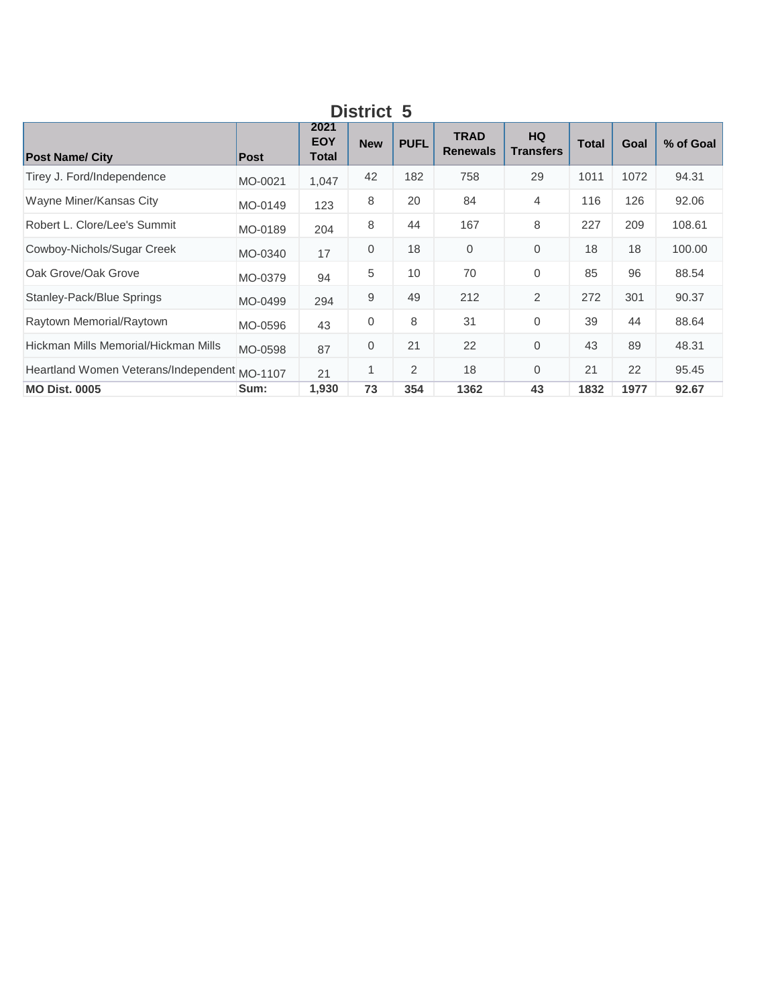| DISTICL J                                    |         |                             |            |                |                                |                               |              |      |           |  |  |
|----------------------------------------------|---------|-----------------------------|------------|----------------|--------------------------------|-------------------------------|--------------|------|-----------|--|--|
| <b>Post Name/ City</b>                       | Post    | 2021<br><b>EOY</b><br>Total | <b>New</b> | <b>PUFL</b>    | <b>TRAD</b><br><b>Renewals</b> | <b>HQ</b><br><b>Transfers</b> | <b>Total</b> | Goal | % of Goal |  |  |
| Tirey J. Ford/Independence                   | MO-0021 | 1,047                       | 42         | 182            | 758                            | 29                            | 1011         | 1072 | 94.31     |  |  |
| Wayne Miner/Kansas City                      | MO-0149 | 123                         | 8          | 20             | 84                             | 4                             | 116          | 126  | 92.06     |  |  |
| Robert L. Clore/Lee's Summit                 | MO-0189 | 204                         | 8          | 44             | 167                            | 8                             | 227          | 209  | 108.61    |  |  |
| Cowboy-Nichols/Sugar Creek                   | MO-0340 | 17                          | 0          | 18             | $\mathbf{0}$                   | $\mathbf 0$                   | 18           | 18   | 100.00    |  |  |
| Oak Grove/Oak Grove                          | MO-0379 | 94                          | 5          | 10             | 70                             | $\mathbf 0$                   | 85           | 96   | 88.54     |  |  |
| Stanley-Pack/Blue Springs                    | MO-0499 | 294                         | 9          | 49             | 212                            | 2                             | 272          | 301  | 90.37     |  |  |
| Raytown Memorial/Raytown                     | MO-0596 | 43                          | 0          | 8              | 31                             | $\Omega$                      | 39           | 44   | 88.64     |  |  |
| Hickman Mills Memorial/Hickman Mills         | MO-0598 | 87                          | 0          | 21             | 22                             | $\mathbf 0$                   | 43           | 89   | 48.31     |  |  |
| Heartland Women Veterans/Independent MO-1107 |         | 21                          | 1          | $\overline{2}$ | 18                             | $\Omega$                      | 21           | 22   | 95.45     |  |  |
| <b>MO Dist. 0005</b>                         | Sum:    | 1,930                       | 73         | 354            | 1362                           | 43                            | 1832         | 1977 | 92.67     |  |  |

**District 5**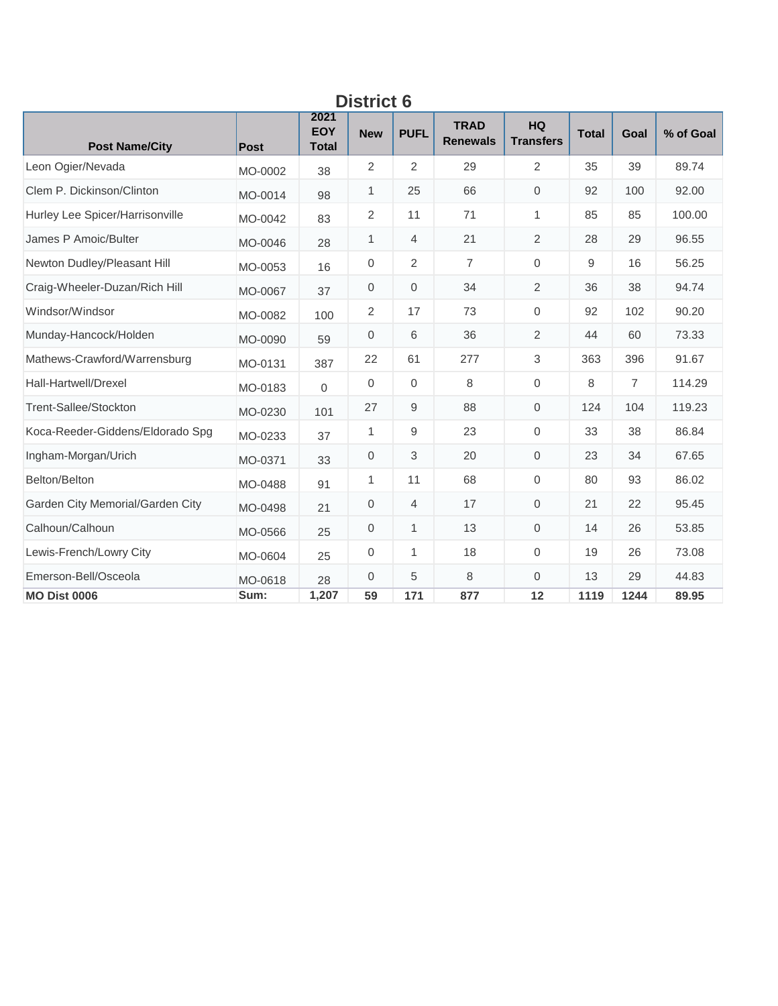| ט ואוואט                         |         |                                    |              |                |                                |                               |              |                |           |  |  |  |
|----------------------------------|---------|------------------------------------|--------------|----------------|--------------------------------|-------------------------------|--------------|----------------|-----------|--|--|--|
| <b>Post Name/City</b>            | Post    | 2021<br><b>EOY</b><br><b>Total</b> | <b>New</b>   | <b>PUFL</b>    | <b>TRAD</b><br><b>Renewals</b> | <b>HQ</b><br><b>Transfers</b> | <b>Total</b> | Goal           | % of Goal |  |  |  |
| Leon Ogier/Nevada                | MO-0002 | 38                                 | 2            | $\overline{2}$ | 29                             | 2                             | 35           | 39             | 89.74     |  |  |  |
| Clem P. Dickinson/Clinton        | MO-0014 | 98                                 | $\mathbf{1}$ | 25             | 66                             | $\mathbf{0}$                  | 92           | 100            | 92.00     |  |  |  |
| Hurley Lee Spicer/Harrisonville  | MO-0042 | 83                                 | 2            | 11             | 71                             | $\mathbf{1}$                  | 85           | 85             | 100.00    |  |  |  |
| James P Amoic/Bulter             | MO-0046 | 28                                 | 1            | 4              | 21                             | $\overline{2}$                | 28           | 29             | 96.55     |  |  |  |
| Newton Dudley/Pleasant Hill      | MO-0053 | 16                                 | $\mathbf 0$  | 2              | $\overline{7}$                 | $\mathbf 0$                   | 9            | 16             | 56.25     |  |  |  |
| Craig-Wheeler-Duzan/Rich Hill    | MO-0067 | 37                                 | $\mathbf{0}$ | 0              | 34                             | 2                             | 36           | 38             | 94.74     |  |  |  |
| Windsor/Windsor                  | MO-0082 | 100                                | 2            | 17             | 73                             | $\mathbf 0$                   | 92           | 102            | 90.20     |  |  |  |
| Munday-Hancock/Holden            | MO-0090 | 59                                 | $\mathbf{0}$ | 6              | 36                             | 2                             | 44           | 60             | 73.33     |  |  |  |
| Mathews-Crawford/Warrensburg     | MO-0131 | 387                                | 22           | 61             | 277                            | 3                             | 363          | 396            | 91.67     |  |  |  |
| Hall-Hartwell/Drexel             | MO-0183 | $\mathbf{0}$                       | $\mathbf 0$  | $\overline{0}$ | 8                              | $\mathbf 0$                   | 8            | $\overline{7}$ | 114.29    |  |  |  |
| Trent-Sallee/Stockton            | MO-0230 | 101                                | 27           | 9              | 88                             | $\mathbf{0}$                  | 124          | 104            | 119.23    |  |  |  |
| Koca-Reeder-Giddens/Eldorado Spg | MO-0233 | 37                                 | 1            | 9              | 23                             | $\mathbf{0}$                  | 33           | 38             | 86.84     |  |  |  |
| Ingham-Morgan/Urich              | MO-0371 | 33                                 | $\mathbf{0}$ | 3              | 20                             | $\Omega$                      | 23           | 34             | 67.65     |  |  |  |
| Belton/Belton                    | MO-0488 | 91                                 | 1            | 11             | 68                             | $\mathbf 0$                   | 80           | 93             | 86.02     |  |  |  |
| Garden City Memorial/Garden City | MO-0498 | 21                                 | 0            | 4              | 17                             | $\mathbf 0$                   | 21           | 22             | 95.45     |  |  |  |
| Calhoun/Calhoun                  | MO-0566 | 25                                 | $\mathbf 0$  | 1              | 13                             | $\mathbf{0}$                  | 14           | 26             | 53.85     |  |  |  |
| Lewis-French/Lowry City          | MO-0604 | 25                                 | $\mathbf{0}$ | 1              | 18                             | $\mathbf 0$                   | 19           | 26             | 73.08     |  |  |  |
| Emerson-Bell/Osceola             | MO-0618 | 28                                 | $\mathbf 0$  | 5              | 8                              | $\mathbf{0}$                  | 13           | 29             | 44.83     |  |  |  |
| <b>MO Dist 0006</b>              | Sum:    | 1,207                              | 59           | 171            | 877                            | 12                            | 1119         | 1244           | 89.95     |  |  |  |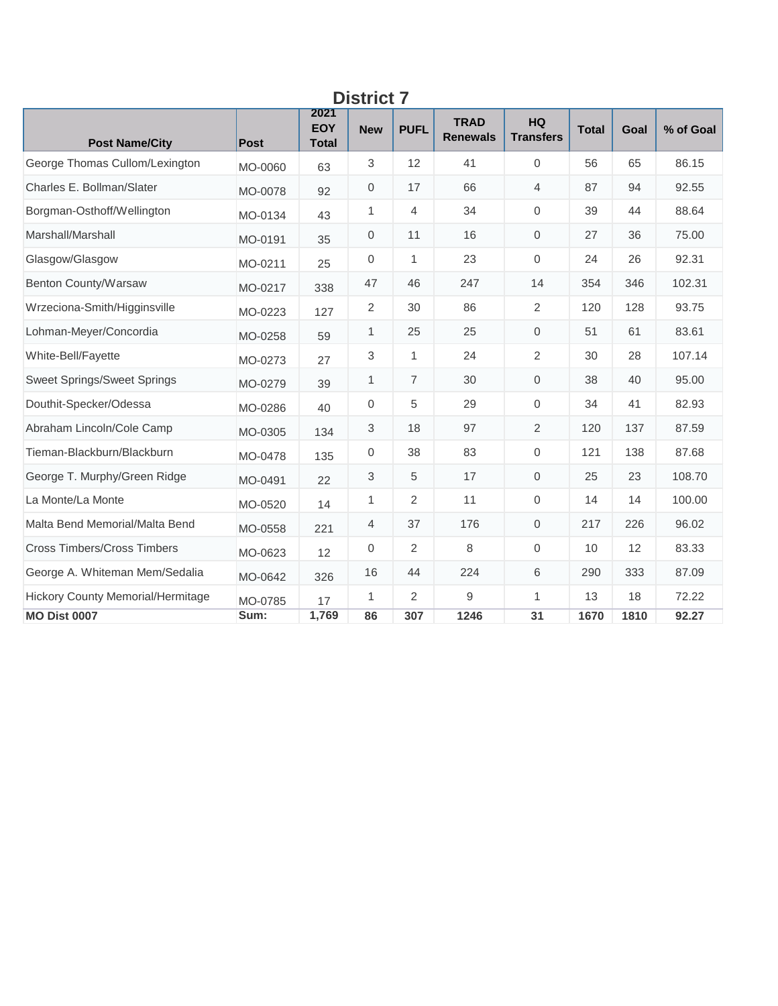| <b>Post Name/City</b>              | <b>Post</b> | 2021<br><b>EOY</b><br><b>Total</b> | <b>New</b>     | <b>PUFL</b>    | <b>TRAD</b><br><b>Renewals</b> | <b>HQ</b><br><b>Transfers</b> | <b>Total</b> | Goal | % of Goal |
|------------------------------------|-------------|------------------------------------|----------------|----------------|--------------------------------|-------------------------------|--------------|------|-----------|
| George Thomas Cullom/Lexington     | MO-0060     | 63                                 | $\mathfrak{S}$ | 12             | 41                             | $\mathbf 0$                   | 56           | 65   | 86.15     |
| Charles E. Bollman/Slater          | MO-0078     | 92                                 | 0              | 17             | 66                             | 4                             | 87           | 94   | 92.55     |
| Borgman-Osthoff/Wellington         | MO-0134     | 43                                 | 1              | $\overline{4}$ | 34                             | $\mathbf 0$                   | 39           | 44   | 88.64     |
| Marshall/Marshall                  | MO-0191     | 35                                 | $\mathbf{0}$   | 11             | 16                             | $\mathbf{0}$                  | 27           | 36   | 75.00     |
| Glasgow/Glasgow                    | MO-0211     | 25                                 | 0              | 1              | 23                             | $\mathbf{0}$                  | 24           | 26   | 92.31     |
| Benton County/Warsaw               | MO-0217     | 338                                | 47             | 46             | 247                            | 14                            | 354          | 346  | 102.31    |
| Wrzeciona-Smith/Higginsville       | MO-0223     | 127                                | $\overline{2}$ | 30             | 86                             | 2                             | 120          | 128  | 93.75     |
| Lohman-Meyer/Concordia             | MO-0258     | 59                                 | $\mathbf{1}$   | 25             | 25                             | $\mathsf{O}\xspace$           | 51           | 61   | 83.61     |
| White-Bell/Fayette                 | MO-0273     | 27                                 | 3              | 1              | 24                             | $\overline{2}$                | 30           | 28   | 107.14    |
| <b>Sweet Springs/Sweet Springs</b> | MO-0279     | 39                                 | $\mathbf{1}$   | $\overline{7}$ | 30                             | $\mathsf{O}\xspace$           | 38           | 40   | 95.00     |
| Douthit-Specker/Odessa             | MO-0286     | 40                                 | 0              | 5              | 29                             | $\mathbf 0$                   | 34           | 41   | 82.93     |
| Abraham Lincoln/Cole Camp          | MO-0305     | 134                                | 3              | 18             | 97                             | 2                             | 120          | 137  | 87.59     |
| Tieman-Blackburn/Blackburn         | MO-0478     | 135                                | $\mathbf 0$    | 38             | 83                             | $\mathbf{0}$                  | 121          | 138  | 87.68     |
| George T. Murphy/Green Ridge       | MO-0491     | 22                                 | 3              | 5              | 17                             | $\mathbf 0$                   | 25           | 23   | 108.70    |
| La Monte/La Monte                  | MO-0520     | 14                                 | 1              | 2              | 11                             | $\mathbf{0}$                  | 14           | 14   | 100.00    |
| Malta Bend Memorial/Malta Bend     | MO-0558     | 221                                | $\overline{4}$ | 37             | 176                            | $\mathbf{0}$                  | 217          | 226  | 96.02     |
| <b>Cross Timbers/Cross Timbers</b> | MO-0623     | 12                                 | $\mathbf{0}$   | 2              | 8                              | $\mathbf 0$                   | 10           | 12   | 83.33     |
| George A. Whiteman Mem/Sedalia     | MO-0642     | 326                                | 16             | 44             | 224                            | 6                             | 290          | 333  | 87.09     |
| Hickory County Memorial/Hermitage  | MO-0785     | 17                                 | 1              | 2              | 9                              | 1                             | 13           | 18   | 72.22     |
| <b>MO Dist 0007</b>                | Sum:        | 1,769                              | 86             | 307            | 1246                           | 31                            | 1670         | 1810 | 92.27     |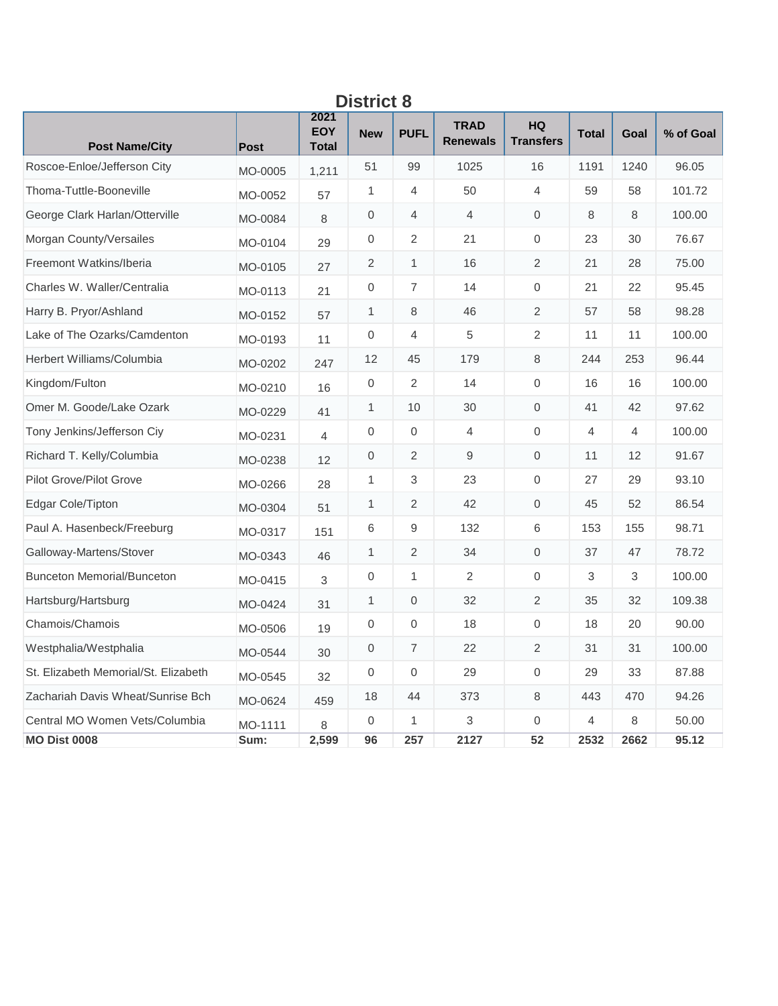| יטו וטכ                              |             |                                    |                     |                |                                |                        |                |                |           |  |  |  |
|--------------------------------------|-------------|------------------------------------|---------------------|----------------|--------------------------------|------------------------|----------------|----------------|-----------|--|--|--|
| <b>Post Name/City</b>                | <b>Post</b> | 2021<br><b>EOY</b><br><b>Total</b> | <b>New</b>          | <b>PUFL</b>    | <b>TRAD</b><br><b>Renewals</b> | HQ<br><b>Transfers</b> | <b>Total</b>   | Goal           | % of Goal |  |  |  |
| Roscoe-Enloe/Jefferson City          | MO-0005     | 1,211                              | 51                  | 99             | 1025                           | 16                     | 1191           | 1240           | 96.05     |  |  |  |
| Thoma-Tuttle-Booneville              | MO-0052     | 57                                 | $\mathbf{1}$        | $\overline{4}$ | 50                             | $\overline{4}$         | 59             | 58             | 101.72    |  |  |  |
| George Clark Harlan/Otterville       | MO-0084     | 8                                  | 0                   | 4              | $\overline{4}$                 | $\mathbf 0$            | 8              | 8              | 100.00    |  |  |  |
| Morgan County/Versailes              | MO-0104     | 29                                 | 0                   | 2              | 21                             | $\boldsymbol{0}$       | 23             | 30             | 76.67     |  |  |  |
| Freemont Watkins/Iberia              | MO-0105     | 27                                 | $\overline{2}$      | $\mathbf{1}$   | 16                             | $\overline{c}$         | 21             | 28             | 75.00     |  |  |  |
| Charles W. Waller/Centralia          | MO-0113     | 21                                 | $\mathbf 0$         | $\overline{7}$ | 14                             | $\mathbf{0}$           | 21             | 22             | 95.45     |  |  |  |
| Harry B. Pryor/Ashland               | MO-0152     | 57                                 | $\mathbf{1}$        | 8              | 46                             | $\overline{2}$         | 57             | 58             | 98.28     |  |  |  |
| Lake of The Ozarks/Camdenton         | MO-0193     | 11                                 | $\mathbf 0$         | $\overline{4}$ | 5                              | $\overline{2}$         | 11             | 11             | 100.00    |  |  |  |
| Herbert Williams/Columbia            | MO-0202     | 247                                | 12                  | 45             | 179                            | $\,8\,$                | 244            | 253            | 96.44     |  |  |  |
| Kingdom/Fulton                       | MO-0210     | 16                                 | $\mathsf{O}\xspace$ | 2              | 14                             | $\mathbf 0$            | 16             | 16             | 100.00    |  |  |  |
| Omer M. Goode/Lake Ozark             | MO-0229     | 41                                 | $\mathbf{1}$        | 10             | 30                             | $\mathbf 0$            | 41             | 42             | 97.62     |  |  |  |
| Tony Jenkins/Jefferson Ciy           | MO-0231     | $\overline{4}$                     | $\mathbf{0}$        | $\mathbf 0$    | 4                              | $\mathbf{0}$           | $\overline{4}$ | $\overline{4}$ | 100.00    |  |  |  |
| Richard T. Kelly/Columbia            | MO-0238     | 12                                 | 0                   | 2              | 9                              | $\mathbf{0}$           | 11             | 12             | 91.67     |  |  |  |
| Pilot Grove/Pilot Grove              | MO-0266     | 28                                 | 1                   | 3              | 23                             | $\mathbf 0$            | 27             | 29             | 93.10     |  |  |  |
| Edgar Cole/Tipton                    | MO-0304     | 51                                 | 1                   | $\overline{2}$ | 42                             | $\mathbf 0$            | 45             | 52             | 86.54     |  |  |  |
| Paul A. Hasenbeck/Freeburg           | MO-0317     | 151                                | 6                   | 9              | 132                            | 6                      | 153            | 155            | 98.71     |  |  |  |
| Galloway-Martens/Stover              | MO-0343     | 46                                 | 1                   | $\overline{2}$ | 34                             | $\mathbf 0$            | 37             | 47             | 78.72     |  |  |  |
| <b>Bunceton Memorial/Bunceton</b>    | MO-0415     | 3                                  | $\mathbf 0$         | $\mathbf{1}$   | 2                              | $\mathbf 0$            | 3              | 3              | 100.00    |  |  |  |
| Hartsburg/Hartsburg                  | MO-0424     | 31                                 | 1                   | $\mathbf 0$    | 32                             | $\sqrt{2}$             | 35             | 32             | 109.38    |  |  |  |
| Chamois/Chamois                      | MO-0506     | 19                                 | $\mathsf{O}\xspace$ | 0              | 18                             | $\mathbf 0$            | 18             | 20             | 90.00     |  |  |  |
| Westphalia/Westphalia                | MO-0544     | 30                                 | $\mathbf 0$         | 7              | 22                             | 2                      | 31             | 31             | 100.00    |  |  |  |
| St. Elizabeth Memorial/St. Elizabeth | MO-0545     | 32                                 | $\mathbf 0$         | $\mathbf 0$    | 29                             | $\mathbf 0$            | 29             | 33             | 87.88     |  |  |  |
| Zachariah Davis Wheat/Sunrise Bch    | MO-0624     | 459                                | 18                  | 44             | 373                            | 8                      | 443            | 470            | 94.26     |  |  |  |
| Central MO Women Vets/Columbia       | MO-1111     | 8                                  | $\overline{0}$      | 1              | 3                              | $\mathbf 0$            | $\overline{4}$ | 8              | 50.00     |  |  |  |
| <b>MO Dist 0008</b>                  | Sum:        | 2,599                              | 96                  | 257            | 2127                           | 52                     | 2532           | 2662           | 95.12     |  |  |  |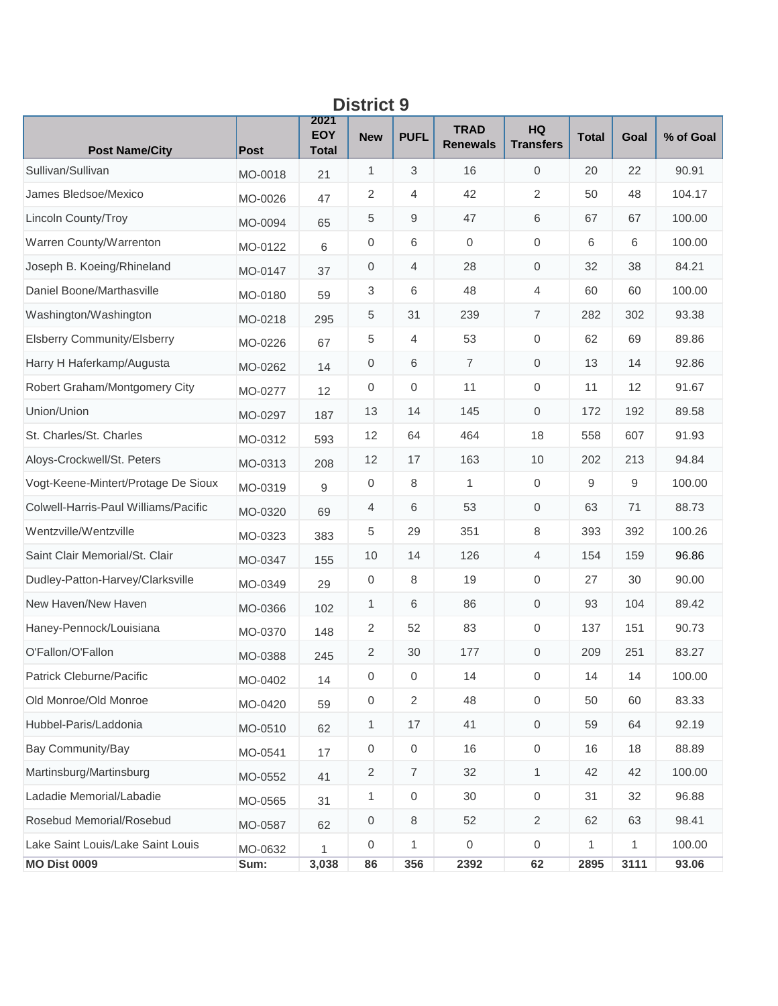| <b>District 9</b>                    |             |                                    |                  |                |                                |                               |              |              |           |  |  |  |
|--------------------------------------|-------------|------------------------------------|------------------|----------------|--------------------------------|-------------------------------|--------------|--------------|-----------|--|--|--|
| <b>Post Name/City</b>                | <b>Post</b> | 2021<br><b>EOY</b><br><b>Total</b> | <b>New</b>       | <b>PUFL</b>    | <b>TRAD</b><br><b>Renewals</b> | <b>HQ</b><br><b>Transfers</b> | <b>Total</b> | Goal         | % of Goal |  |  |  |
| Sullivan/Sullivan                    | MO-0018     | 21                                 | 1                | 3              | 16                             | $\mathbf{0}$                  | 20           | 22           | 90.91     |  |  |  |
| James Bledsoe/Mexico                 | MO-0026     | 47                                 | 2                | 4              | 42                             | 2                             | 50           | 48           | 104.17    |  |  |  |
| Lincoln County/Troy                  | MO-0094     | 65                                 | 5                | 9              | 47                             | 6                             | 67           | 67           | 100.00    |  |  |  |
| Warren County/Warrenton              | MO-0122     | 6                                  | $\mathbf 0$      | 6              | $\mathbf 0$                    | $\mathbf 0$                   | 6            | 6            | 100.00    |  |  |  |
| Joseph B. Koeing/Rhineland           | MO-0147     | 37                                 | $\mathbf 0$      | 4              | 28                             | $\mathbf 0$                   | 32           | 38           | 84.21     |  |  |  |
| Daniel Boone/Marthasville            | MO-0180     | 59                                 | 3                | 6              | 48                             | $\overline{4}$                | 60           | 60           | 100.00    |  |  |  |
| Washington/Washington                | MO-0218     | 295                                | 5                | 31             | 239                            | $\overline{7}$                | 282          | 302          | 93.38     |  |  |  |
| <b>Elsberry Community/Elsberry</b>   | MO-0226     | 67                                 | 5                | 4              | 53                             | $\mathbf 0$                   | 62           | 69           | 89.86     |  |  |  |
| Harry H Haferkamp/Augusta            | MO-0262     | 14                                 | 0                | 6              | $\overline{7}$                 | $\mathbf{0}$                  | 13           | 14           | 92.86     |  |  |  |
| Robert Graham/Montgomery City        | MO-0277     | 12                                 | $\mathbf 0$      | 0              | 11                             | $\mathbf 0$                   | 11           | 12           | 91.67     |  |  |  |
| Union/Union                          | MO-0297     | 187                                | 13               | 14             | 145                            | $\mathbf{0}$                  | 172          | 192          | 89.58     |  |  |  |
| St. Charles/St. Charles              | MO-0312     | 593                                | 12               | 64             | 464                            | 18                            | 558          | 607          | 91.93     |  |  |  |
| Aloys-Crockwell/St. Peters           | MO-0313     | 208                                | 12               | 17             | 163                            | 10                            | 202          | 213          | 94.84     |  |  |  |
| Vogt-Keene-Mintert/Protage De Sioux  | MO-0319     | 9                                  | $\mathbf 0$      | 8              | 1                              | $\mathbf{0}$                  | 9            | 9            | 100.00    |  |  |  |
| Colwell-Harris-Paul Williams/Pacific | MO-0320     | 69                                 | 4                | 6              | 53                             | $\mathbf{0}$                  | 63           | 71           | 88.73     |  |  |  |
| Wentzville/Wentzville                | MO-0323     | 383                                | 5                | 29             | 351                            | 8                             | 393          | 392          | 100.26    |  |  |  |
| Saint Clair Memorial/St. Clair       | MO-0347     | 155                                | 10               | 14             | 126                            | $\overline{4}$                | 154          | 159          | 96.86     |  |  |  |
| Dudley-Patton-Harvey/Clarksville     | MO-0349     | 29                                 | $\mathbf 0$      | 8              | 19                             | $\mathbf{0}$                  | 27           | 30           | 90.00     |  |  |  |
| New Haven/New Haven                  | MO-0366     | 102                                | 1                | 6              | 86                             | $\mathbf 0$                   | 93           | 104          | 89.42     |  |  |  |
| Haney-Pennock/Louisiana              | MO-0370     | 148                                | 2                | 52             | 83                             | $\mathbf 0$                   | 137          | 151          | 90.73     |  |  |  |
| O'Fallon/O'Fallon                    | MO-0388     | 245                                | $\overline{2}$   | 30             | 177                            | $\mathbf 0$                   | 209          | 251          | 83.27     |  |  |  |
| Patrick Cleburne/Pacific             | MO-0402     | 14                                 | 0                | 0              | 14                             | $\,0\,$                       | 14           | 14           | 100.00    |  |  |  |
| Old Monroe/Old Monroe                | MO-0420     | 59                                 | $\boldsymbol{0}$ | $\overline{2}$ | 48                             | $\mathbf 0$                   | 50           | 60           | 83.33     |  |  |  |
| Hubbel-Paris/Laddonia                | MO-0510     | 62                                 | $\mathbf{1}$     | 17             | 41                             | $\mathbf 0$                   | 59           | 64           | 92.19     |  |  |  |
| Bay Community/Bay                    | MO-0541     | 17                                 | $\,0\,$          | $\mathbf 0$    | 16                             | $\,0\,$                       | 16           | 18           | 88.89     |  |  |  |
| Martinsburg/Martinsburg              | MO-0552     | 41                                 | 2                | 7              | 32                             | $\mathbf{1}$                  | 42           | 42           | 100.00    |  |  |  |
| Ladadie Memorial/Labadie             | MO-0565     | 31                                 | $\mathbf{1}$     | 0              | 30                             | $\,0\,$                       | 31           | 32           | 96.88     |  |  |  |
| Rosebud Memorial/Rosebud             | MO-0587     | 62                                 | $\boldsymbol{0}$ | 8              | 52                             | $\overline{2}$                | 62           | 63           | 98.41     |  |  |  |
| Lake Saint Louis/Lake Saint Louis    | MO-0632     | 1                                  | $\mathbf 0$      | 1              | $\boldsymbol{0}$               | $\mathbf 0$                   | $\mathbf{1}$ | $\mathbf{1}$ | 100.00    |  |  |  |
| <b>MO Dist 0009</b>                  | Sum:        | 3,038                              | 86               | 356            | 2392                           | 62                            | 2895         | 3111         | 93.06     |  |  |  |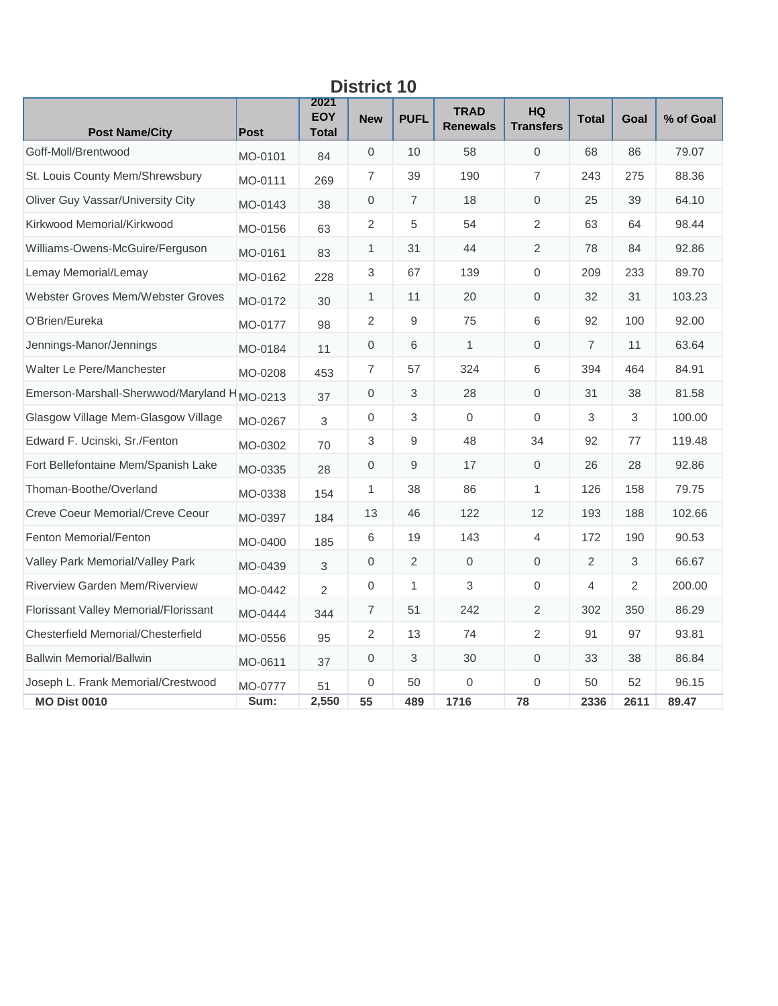| <b>District 10</b>                                      |             |                             |                     |                |                                |                               |                |      |           |  |  |  |
|---------------------------------------------------------|-------------|-----------------------------|---------------------|----------------|--------------------------------|-------------------------------|----------------|------|-----------|--|--|--|
| <b>Post Name/City</b>                                   | <b>Post</b> | 2021<br>EOY<br><b>Total</b> | <b>New</b>          | <b>PUFL</b>    | <b>TRAD</b><br><b>Renewals</b> | <b>HQ</b><br><b>Transfers</b> | <b>Total</b>   | Goal | % of Goal |  |  |  |
| Goff-Moll/Brentwood                                     | MO-0101     | 84                          | 0                   | 10             | 58                             | $\mathbf{0}$                  | 68             | 86   | 79.07     |  |  |  |
| St. Louis County Mem/Shrewsbury                         | MO-0111     | 269                         | $\overline{7}$      | 39             | 190                            | $\overline{7}$                | 243            | 275  | 88.36     |  |  |  |
| Oliver Guy Vassar/University City                       | MO-0143     | 38                          | 0                   | $\overline{7}$ | 18                             | $\mathbf{0}$                  | 25             | 39   | 64.10     |  |  |  |
| Kirkwood Memorial/Kirkwood                              | MO-0156     | 63                          | 2                   | 5              | 54                             | 2                             | 63             | 64   | 98.44     |  |  |  |
| Williams-Owens-McGuire/Ferguson                         | MO-0161     | 83                          | 1                   | 31             | 44                             | $\overline{2}$                | 78             | 84   | 92.86     |  |  |  |
| Lemay Memorial/Lemay                                    | MO-0162     | 228                         | 3                   | 67             | 139                            | $\mathbf 0$                   | 209            | 233  | 89.70     |  |  |  |
| <b>Webster Groves Mem/Webster Groves</b>                | MO-0172     | 30                          | 1                   | 11             | 20                             | $\mathbf 0$                   | 32             | 31   | 103.23    |  |  |  |
| O'Brien/Eureka                                          | MO-0177     | 98                          | 2                   | 9              | 75                             | $6\,$                         | 92             | 100  | 92.00     |  |  |  |
| Jennings-Manor/Jennings                                 | MO-0184     | 11                          | $\mathbf{0}$        | 6              | 1                              | $\mathbf 0$                   | $\overline{7}$ | 11   | 63.64     |  |  |  |
| Walter Le Pere/Manchester                               | MO-0208     | 453                         | $\overline{7}$      | 57             | 324                            | 6                             | 394            | 464  | 84.91     |  |  |  |
| Emerson-Marshall-Sherwwod/Maryland H <sub>MO-0213</sub> |             | 37                          | $\mathbf{0}$        | 3              | 28                             | $\mathbf{0}$                  | 31             | 38   | 81.58     |  |  |  |
| Glasgow Village Mem-Glasgow Village                     | MO-0267     | 3                           | $\mathsf{O}\xspace$ | 3              | $\mathbf 0$                    | $\mathbf{0}$                  | 3              | 3    | 100.00    |  |  |  |
| Edward F. Ucinski, Sr./Fenton                           | MO-0302     | 70                          | 3                   | 9              | 48                             | 34                            | 92             | 77   | 119.48    |  |  |  |
| Fort Bellefontaine Mem/Spanish Lake                     | MO-0335     | 28                          | $\mathbf 0$         | 9              | 17                             | $\mathbf 0$                   | 26             | 28   | 92.86     |  |  |  |
| Thoman-Boothe/Overland                                  | MO-0338     | 154                         | $\mathbf{1}$        | 38             | 86                             | 1                             | 126            | 158  | 79.75     |  |  |  |
| Creve Coeur Memorial/Creve Ceour                        | MO-0397     | 184                         | 13                  | 46             | 122                            | 12                            | 193            | 188  | 102.66    |  |  |  |
| <b>Fenton Memorial/Fenton</b>                           | MO-0400     | 185                         | 6                   | 19             | 143                            | 4                             | 172            | 190  | 90.53     |  |  |  |
| Valley Park Memorial/Valley Park                        | MO-0439     | 3                           | $\mathbf 0$         | 2              | $\Omega$                       | $\mathbf 0$                   | 2              | 3    | 66.67     |  |  |  |
| Riverview Garden Mem/Riverview                          | MO-0442     | $\overline{2}$              | $\mathbf{0}$        | $\mathbf{1}$   | 3                              | $\mathbf 0$                   | 4              | 2    | 200.00    |  |  |  |
| Florissant Valley Memorial/Florissant                   | MO-0444     | 344                         | 7                   | 51             | 242                            | 2                             | 302            | 350  | 86.29     |  |  |  |
| Chesterfield Memorial/Chesterfield                      | MO-0556     | 95                          | 2                   | 13             | 74                             | 2                             | 91             | 97   | 93.81     |  |  |  |
| <b>Ballwin Memorial/Ballwin</b>                         | MO-0611     | 37                          | $\overline{0}$      | 3              | 30                             | $\mathbf{0}$                  | 33             | 38   | 86.84     |  |  |  |
| Joseph L. Frank Memorial/Crestwood                      | MO-0777     | 51                          | $\overline{0}$      | 50             | $\overline{0}$                 | $\mathbf{0}$                  | 50             | 52   | 96.15     |  |  |  |
| <b>MO Dist 0010</b>                                     | Sum:        | 2,550                       | 55                  | 489            | 1716                           | 78                            | 2336           | 2611 | 89.47     |  |  |  |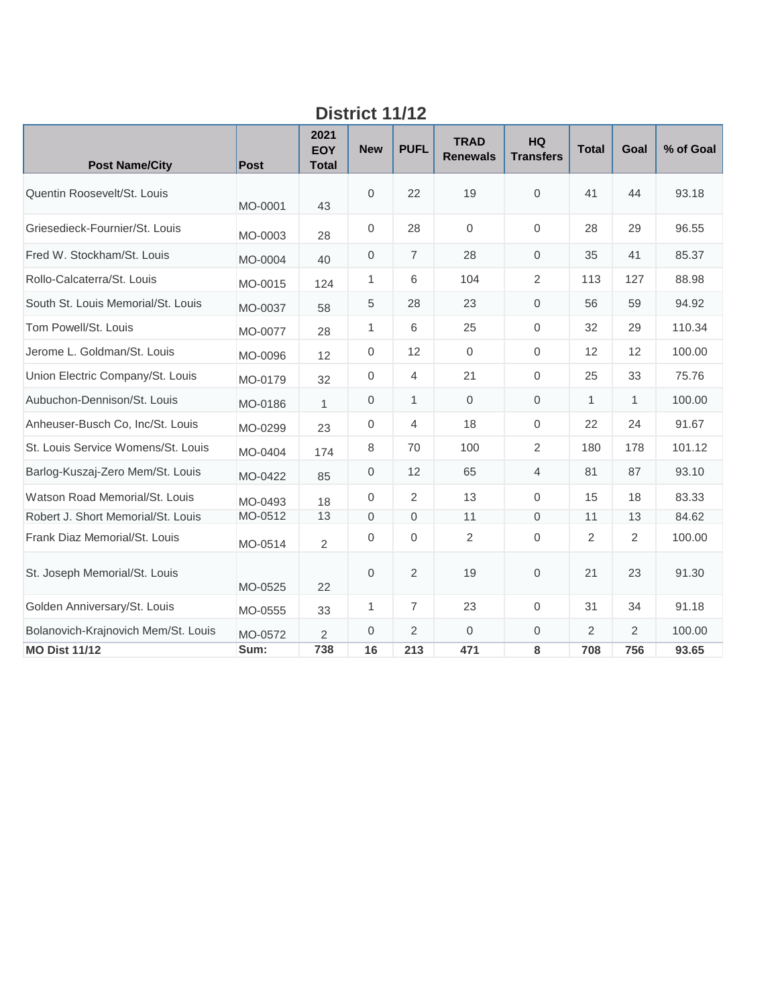|                                     | צו זו דטווטש |                             |              |                |                                |                               |              |                |           |  |  |  |
|-------------------------------------|--------------|-----------------------------|--------------|----------------|--------------------------------|-------------------------------|--------------|----------------|-----------|--|--|--|
| <b>Post Name/City</b>               | <b>Post</b>  | 2021<br>EOY<br><b>Total</b> | <b>New</b>   | <b>PUFL</b>    | <b>TRAD</b><br><b>Renewals</b> | <b>HQ</b><br><b>Transfers</b> | <b>Total</b> | Goal           | % of Goal |  |  |  |
| Quentin Roosevelt/St. Louis         | MO-0001      | 43                          | $\mathbf{0}$ | 22             | 19                             | $\mathbf{0}$                  | 41           | 44             | 93.18     |  |  |  |
| Griesedieck-Fournier/St. Louis      | MO-0003      | 28                          | 0            | 28             | $\mathbf 0$                    | $\mathbf{0}$                  | 28           | 29             | 96.55     |  |  |  |
| Fred W. Stockham/St. Louis          | MO-0004      | 40                          | 0            | $\overline{7}$ | 28                             | $\mathbf{0}$                  | 35           | 41             | 85.37     |  |  |  |
| Rollo-Calcaterra/St. Louis          | MO-0015      | 124                         | $\mathbf{1}$ | 6              | 104                            | $\overline{2}$                | 113          | 127            | 88.98     |  |  |  |
| South St. Louis Memorial/St. Louis  | MO-0037      | 58                          | $\,$ 5 $\,$  | 28             | 23                             | $\mathbf 0$                   | 56           | 59             | 94.92     |  |  |  |
| Tom Powell/St. Louis                | MO-0077      | 28                          | $\mathbf{1}$ | 6              | 25                             | $\Omega$                      | 32           | 29             | 110.34    |  |  |  |
| Jerome L. Goldman/St. Louis         | MO-0096      | 12                          | 0            | 12             | $\mathbf 0$                    | $\mathbf{0}$                  | 12           | 12             | 100.00    |  |  |  |
| Union Electric Company/St. Louis    | MO-0179      | 32                          | $\mathbf 0$  | $\overline{4}$ | 21                             | $\mathbf 0$                   | 25           | 33             | 75.76     |  |  |  |
| Aubuchon-Dennison/St. Louis         | MO-0186      | $\mathbf{1}$                | $\mathbf 0$  | 1              | $\overline{0}$                 | $\mathbf{0}$                  | $\mathbf{1}$ | 1              | 100.00    |  |  |  |
| Anheuser-Busch Co, Inc/St. Louis    | MO-0299      | 23                          | 0            | $\overline{4}$ | 18                             | $\mathbf 0$                   | 22           | 24             | 91.67     |  |  |  |
| St. Louis Service Womens/St. Louis  | MO-0404      | 174                         | 8            | 70             | 100                            | $\overline{2}$                | 180          | 178            | 101.12    |  |  |  |
| Barlog-Kuszaj-Zero Mem/St. Louis    | MO-0422      | 85                          | $\mathbf{0}$ | 12             | 65                             | $\overline{4}$                | 81           | 87             | 93.10     |  |  |  |
| Watson Road Memorial/St. Louis      | MO-0493      | 18                          | $\mathbf 0$  | 2              | 13                             | $\Omega$                      | 15           | 18             | 83.33     |  |  |  |
| Robert J. Short Memorial/St. Louis  | MO-0512      | 13                          | $\Omega$     | $\mathbf 0$    | 11                             | $\mathbf{0}$                  | 11           | 13             | 84.62     |  |  |  |
| Frank Diaz Memorial/St. Louis       | MO-0514      | $\overline{2}$              | 0            | $\mathbf 0$    | $\overline{c}$                 | $\mathbf 0$                   | 2            | $\overline{2}$ | 100.00    |  |  |  |
| St. Joseph Memorial/St. Louis       | MO-0525      | 22                          | $\mathbf{0}$ | 2              | 19                             | $\mathbf 0$                   | 21           | 23             | 91.30     |  |  |  |
| Golden Anniversary/St. Louis        | MO-0555      | 33                          | $\mathbf{1}$ | $\overline{7}$ | 23                             | $\mathbf 0$                   | 31           | 34             | 91.18     |  |  |  |
| Bolanovich-Krajnovich Mem/St. Louis | MO-0572      | $\overline{2}$              | $\mathbf{0}$ | 2              | $\mathbf{0}$                   | $\mathbf{0}$                  | 2            | $\overline{2}$ | 100.00    |  |  |  |
| <b>MO Dist 11/12</b>                | Sum:         | 738                         | 16           | 213            | 471                            | 8                             | 708          | 756            | 93.65     |  |  |  |

#### **District 11/12**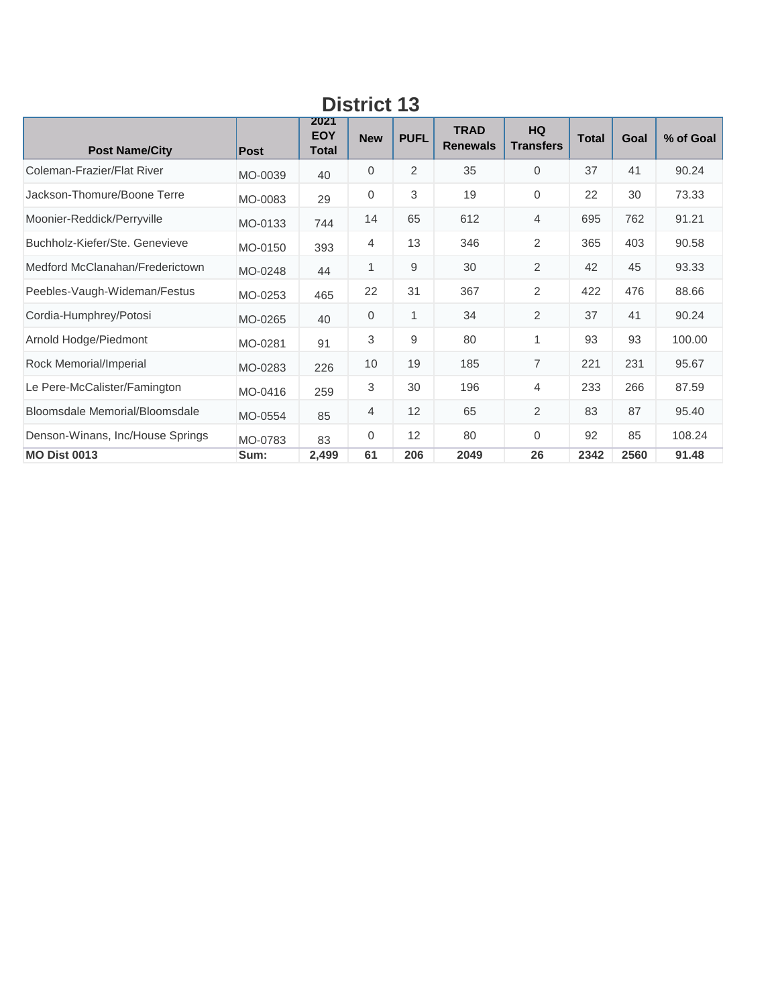| <b>Post Name/City</b>            | Post    | 2021<br><b>EOY</b><br>Total | <b>New</b> | <b>PUFL</b> | <b>TRAD</b><br><b>Renewals</b> | <b>HQ</b><br><b>Transfers</b> | <b>Total</b> | Goal | % of Goal |  |  |  |
|----------------------------------|---------|-----------------------------|------------|-------------|--------------------------------|-------------------------------|--------------|------|-----------|--|--|--|
| Coleman-Frazier/Flat River       | MO-0039 | 40                          | 0          | 2           | 35                             | $\overline{0}$                | 37           | 41   | 90.24     |  |  |  |
| Jackson-Thomure/Boone Terre      | MO-0083 | 29                          | 0          | 3           | 19                             | 0                             | 22           | 30   | 73.33     |  |  |  |
| Moonier-Reddick/Perryville       | MO-0133 | 744                         | 14         | 65          | 612                            | $\overline{4}$                | 695          | 762  | 91.21     |  |  |  |
| Buchholz-Kiefer/Ste, Genevieve   | MO-0150 | 393                         | 4          | 13          | 346                            | $\overline{2}$                | 365          | 403  | 90.58     |  |  |  |
| Medford McClanahan/Frederictown  | MO-0248 | 44                          | 1          | 9           | 30                             | $\overline{2}$                | 42           | 45   | 93.33     |  |  |  |
| Peebles-Vaugh-Wideman/Festus     | MO-0253 | 465                         | 22         | 31          | 367                            | 2                             | 422          | 476  | 88.66     |  |  |  |
| Cordia-Humphrey/Potosi           | MO-0265 | 40                          | 0          | 1           | 34                             | $\overline{2}$                | 37           | 41   | 90.24     |  |  |  |
| Arnold Hodge/Piedmont            | MO-0281 | 91                          | 3          | 9           | 80                             | 1                             | 93           | 93   | 100.00    |  |  |  |
| Rock Memorial/Imperial           | MO-0283 | 226                         | 10         | 19          | 185                            | $\overline{7}$                | 221          | 231  | 95.67     |  |  |  |
| Le Pere-McCalister/Famington     | MO-0416 | 259                         | 3          | 30          | 196                            | 4                             | 233          | 266  | 87.59     |  |  |  |
| Bloomsdale Memorial/Bloomsdale   | MO-0554 | 85                          | 4          | 12          | 65                             | 2                             | 83           | 87   | 95.40     |  |  |  |
| Denson-Winans, Inc/House Springs | MO-0783 | 83                          | $\Omega$   | 12          | 80                             | $\Omega$                      | 92           | 85   | 108.24    |  |  |  |
| <b>MO Dist 0013</b>              | Sum:    | 2,499                       | 61         | 206         | 2049                           | 26                            | 2342         | 2560 | 91.48     |  |  |  |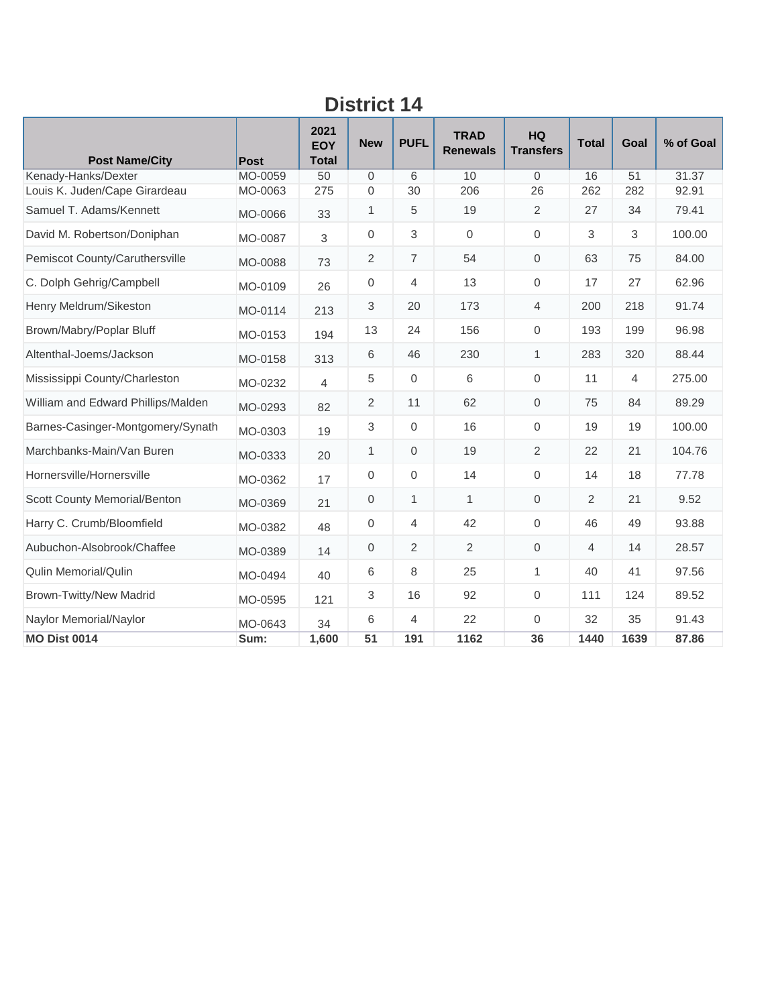| <b>Post Name/City</b>              | Post    | 2021<br>EOY<br><b>Total</b> | <b>New</b>   | <b>PUFL</b>      | <b>TRAD</b><br><b>Renewals</b> | <b>HQ</b><br><b>Transfers</b> | <b>Total</b>   | Goal | % of Goal |
|------------------------------------|---------|-----------------------------|--------------|------------------|--------------------------------|-------------------------------|----------------|------|-----------|
| Kenady-Hanks/Dexter                | MO-0059 | 50                          | $\Omega$     | 6                | 10                             | $\Omega$                      | 16             | 51   | 31.37     |
| Louis K. Juden/Cape Girardeau      | MO-0063 | 275                         | 0            | 30               | 206                            | 26                            | 262            | 282  | 92.91     |
| Samuel T. Adams/Kennett            | MO-0066 | 33                          | 1            | 5                | 19                             | 2                             | 27             | 34   | 79.41     |
| David M. Robertson/Doniphan        | MO-0087 | 3                           | $\mathbf 0$  | 3                | $\mathbf 0$                    | $\mathbf 0$                   | 3              | 3    | 100.00    |
| Pemiscot County/Caruthersville     | MO-0088 | 73                          | 2            | $\overline{7}$   | 54                             | $\mathbf{0}$                  | 63             | 75   | 84.00     |
| C. Dolph Gehrig/Campbell           | MO-0109 | 26                          | $\mathbf{0}$ | 4                | 13                             | $\mathbf 0$                   | 17             | 27   | 62.96     |
| Henry Meldrum/Sikeston             | MO-0114 | 213                         | 3            | 20               | 173                            | 4                             | 200            | 218  | 91.74     |
| Brown/Mabry/Poplar Bluff           | MO-0153 | 194                         | 13           | 24               | 156                            | $\mathbf{0}$                  | 193            | 199  | 96.98     |
| Altenthal-Joems/Jackson            | MO-0158 | 313                         | 6            | 46               | 230                            | 1                             | 283            | 320  | 88.44     |
| Mississippi County/Charleston      | MO-0232 | $\overline{4}$              | 5            | $\overline{0}$   | 6                              | $\Omega$                      | 11             | 4    | 275.00    |
| William and Edward Phillips/Malden | MO-0293 | 82                          | 2            | 11               | 62                             | $\Omega$                      | 75             | 84   | 89.29     |
| Barnes-Casinger-Montgomery/Synath  | MO-0303 | 19                          | 3            | $\mathbf 0$      | 16                             | $\mathbf 0$                   | 19             | 19   | 100.00    |
| Marchbanks-Main/Van Buren          | MO-0333 | 20                          | 1            | 0                | 19                             | 2                             | 22             | 21   | 104.76    |
| Hornersville/Hornersville          | MO-0362 | 17                          | $\mathbf 0$  | $\boldsymbol{0}$ | 14                             | $\mathbf 0$                   | 14             | 18   | 77.78     |
| Scott County Memorial/Benton       | MO-0369 | 21                          | $\mathbf{0}$ | $\mathbf{1}$     | $\mathbf{1}$                   | $\mathbf{0}$                  | 2              | 21   | 9.52      |
| Harry C. Crumb/Bloomfield          | MO-0382 | 48                          | $\mathbf{0}$ | 4                | 42                             | $\Omega$                      | 46             | 49   | 93.88     |
| Aubuchon-Alsobrook/Chaffee         | MO-0389 | 14                          | $\mathbf 0$  | $\overline{2}$   | 2                              | $\mathbf 0$                   | $\overline{4}$ | 14   | 28.57     |
| <b>Qulin Memorial/Qulin</b>        | MO-0494 | 40                          | 6            | 8                | 25                             | $\mathbf{1}$                  | 40             | 41   | 97.56     |
| <b>Brown-Twitty/New Madrid</b>     | MO-0595 | 121                         | 3            | 16               | 92                             | $\mathbf 0$                   | 111            | 124  | 89.52     |
| Naylor Memorial/Naylor             | MO-0643 | 34                          | 6            | 4                | 22                             | $\Omega$                      | 32             | 35   | 91.43     |
| <b>MO Dist 0014</b>                | Sum:    | 1,600                       | 51           | 191              | 1162                           | 36                            | 1440           | 1639 | 87.86     |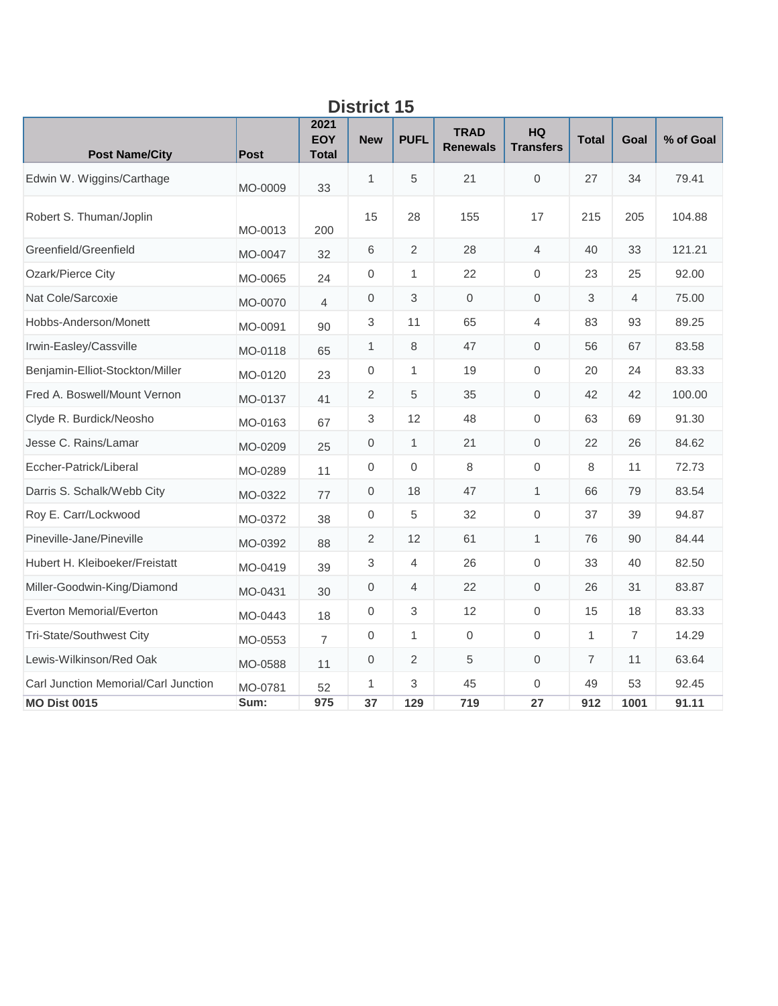| DISUILL<br>IJ                        |             |                                    |                           |                  |                                |                        |                |      |           |  |  |
|--------------------------------------|-------------|------------------------------------|---------------------------|------------------|--------------------------------|------------------------|----------------|------|-----------|--|--|
| <b>Post Name/City</b>                | <b>Post</b> | 2021<br><b>EOY</b><br><b>Total</b> | <b>New</b>                | <b>PUFL</b>      | <b>TRAD</b><br><b>Renewals</b> | HQ<br><b>Transfers</b> | <b>Total</b>   | Goal | % of Goal |  |  |
| Edwin W. Wiggins/Carthage            | MO-0009     | 33                                 | $\mathbf{1}$              | 5                | 21                             | $\mathbf 0$            | 27             | 34   | 79.41     |  |  |
| Robert S. Thuman/Joplin              | MO-0013     | 200                                | 15                        | 28               | 155                            | 17                     | 215            | 205  | 104.88    |  |  |
| Greenfield/Greenfield                | MO-0047     | 32                                 | 6                         | $\overline{2}$   | 28                             | $\overline{4}$         | 40             | 33   | 121.21    |  |  |
| Ozark/Pierce City                    | MO-0065     | 24                                 | 0                         | 1                | 22                             | $\boldsymbol{0}$       | 23             | 25   | 92.00     |  |  |
| Nat Cole/Sarcoxie                    | MO-0070     | $\overline{4}$                     | $\mathbf{0}$              | 3                | $\mathbf{0}$                   | $\mathbf{0}$           | 3              | 4    | 75.00     |  |  |
| Hobbs-Anderson/Monett                | MO-0091     | 90                                 | $\sqrt{3}$                | 11               | 65                             | 4                      | 83             | 93   | 89.25     |  |  |
| Irwin-Easley/Cassville               | MO-0118     | 65                                 | 1                         | 8                | 47                             | $\mathbf 0$            | 56             | 67   | 83.58     |  |  |
| Benjamin-Elliot-Stockton/Miller      | MO-0120     | 23                                 | $\boldsymbol{0}$          | $\mathbf{1}$     | 19                             | $\mathbf{0}$           | 20             | 24   | 83.33     |  |  |
| Fred A. Boswell/Mount Vernon         | MO-0137     | 41                                 | $\overline{2}$            | 5                | 35                             | $\boldsymbol{0}$       | 42             | 42   | 100.00    |  |  |
| Clyde R. Burdick/Neosho              | MO-0163     | 67                                 | $\ensuremath{\mathsf{3}}$ | 12               | 48                             | $\boldsymbol{0}$       | 63             | 69   | 91.30     |  |  |
| Jesse C. Rains/Lamar                 | MO-0209     | 25                                 | $\mathbf{0}$              | $\mathbf{1}$     | 21                             | $\mathbf{0}$           | 22             | 26   | 84.62     |  |  |
| Eccher-Patrick/Liberal               | MO-0289     | 11                                 | $\boldsymbol{0}$          | $\boldsymbol{0}$ | 8                              | $\boldsymbol{0}$       | 8              | 11   | 72.73     |  |  |
| Darris S. Schalk/Webb City           | MO-0322     | 77                                 | $\mathbf 0$               | 18               | 47                             | $\mathbf{1}$           | 66             | 79   | 83.54     |  |  |
| Roy E. Carr/Lockwood                 | MO-0372     | 38                                 | $\boldsymbol{0}$          | 5                | 32                             | $\mathbf{0}$           | 37             | 39   | 94.87     |  |  |
| Pineville-Jane/Pineville             | MO-0392     | 88                                 | $\overline{2}$            | 12               | 61                             | $\mathbf{1}$           | 76             | 90   | 84.44     |  |  |
| Hubert H. Kleiboeker/Freistatt       | MO-0419     | 39                                 | $\sqrt{3}$                | 4                | 26                             | $\boldsymbol{0}$       | 33             | 40   | 82.50     |  |  |
| Miller-Goodwin-King/Diamond          | MO-0431     | 30                                 | $\mathbf 0$               | $\overline{4}$   | 22                             | $\mathbf 0$            | 26             | 31   | 83.87     |  |  |
| Everton Memorial/Everton             | MO-0443     | 18                                 | $\mathbf 0$               | 3                | 12                             | $\mathbf 0$            | 15             | 18   | 83.33     |  |  |
| Tri-State/Southwest City             | MO-0553     | $\overline{7}$                     | 0                         | 1                | $\mathbf 0$                    | $\boldsymbol{0}$       | $\mathbf{1}$   | 7    | 14.29     |  |  |
| Lewis-Wilkinson/Red Oak              | MO-0588     | 11                                 | $\boldsymbol{0}$          | 2                | 5                              | $\mathbf 0$            | $\overline{7}$ | 11   | 63.64     |  |  |
| Carl Junction Memorial/Carl Junction | MO-0781     | 52                                 | 1                         | 3                | 45                             | $\mathbf{0}$           | 49             | 53   | 92.45     |  |  |
| <b>MO Dist 0015</b>                  | Sum:        | 975                                | 37                        | 129              | 719                            | 27                     | 912            | 1001 | 91.11     |  |  |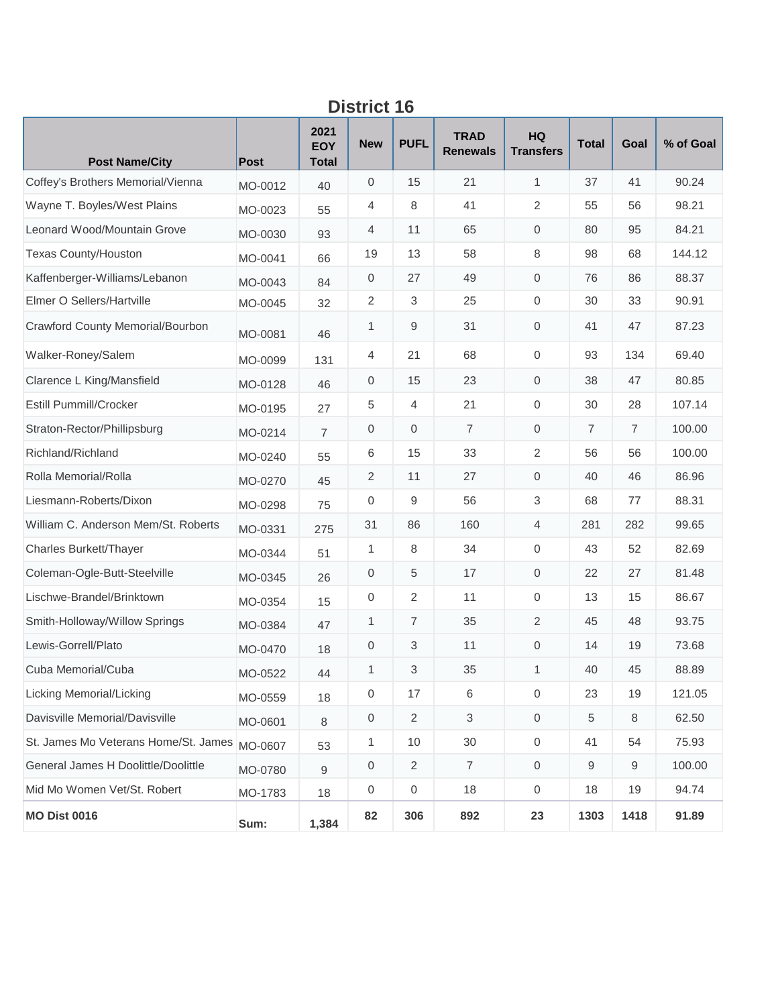| טו וטנוש                             |         |                                    |                  |                |                                |                               |                |                |           |  |
|--------------------------------------|---------|------------------------------------|------------------|----------------|--------------------------------|-------------------------------|----------------|----------------|-----------|--|
| <b>Post Name/City</b>                | Post    | 2021<br><b>EOY</b><br><b>Total</b> | <b>New</b>       | <b>PUFL</b>    | <b>TRAD</b><br><b>Renewals</b> | <b>HQ</b><br><b>Transfers</b> | <b>Total</b>   | Goal           | % of Goal |  |
| Coffey's Brothers Memorial/Vienna    | MO-0012 | 40                                 | $\mathbf 0$      | 15             | 21                             | 1                             | 37             | 41             | 90.24     |  |
| Wayne T. Boyles/West Plains          | MO-0023 | 55                                 | 4                | 8              | 41                             | $\overline{2}$                | 55             | 56             | 98.21     |  |
| Leonard Wood/Mountain Grove          | MO-0030 | 93                                 | 4                | 11             | 65                             | $\mathsf{O}\xspace$           | 80             | 95             | 84.21     |  |
| <b>Texas County/Houston</b>          | MO-0041 | 66                                 | 19               | 13             | 58                             | 8                             | 98             | 68             | 144.12    |  |
| Kaffenberger-Williams/Lebanon        | MO-0043 | 84                                 | $\mathbf 0$      | 27             | 49                             | 0                             | 76             | 86             | 88.37     |  |
| Elmer O Sellers/Hartville            | MO-0045 | 32                                 | 2                | $\sqrt{3}$     | 25                             | $\mathbf{0}$                  | 30             | 33             | 90.91     |  |
| Crawford County Memorial/Bourbon     | MO-0081 | 46                                 | 1                | 9              | 31                             | $\mathbf 0$                   | 41             | 47             | 87.23     |  |
| Walker-Roney/Salem                   | MO-0099 | 131                                | 4                | 21             | 68                             | 0                             | 93             | 134            | 69.40     |  |
| Clarence L King/Mansfield            | MO-0128 | 46                                 | $\mathbf 0$      | 15             | 23                             | 0                             | 38             | 47             | 80.85     |  |
| Estill Pummill/Crocker               | MO-0195 | 27                                 | 5                | 4              | 21                             | 0                             | 30             | 28             | 107.14    |  |
| Straton-Rector/Phillipsburg          | MO-0214 | $\overline{7}$                     | $\mathbf 0$      | $\mathbf 0$    | $\overline{7}$                 | $\mathsf{O}\xspace$           | $\overline{7}$ | $\overline{7}$ | 100.00    |  |
| Richland/Richland                    | MO-0240 | 55                                 | 6                | 15             | 33                             | 2                             | 56             | 56             | 100.00    |  |
| Rolla Memorial/Rolla                 | MO-0270 | 45                                 | $\sqrt{2}$       | 11             | 27                             | 0                             | 40             | 46             | 86.96     |  |
| Liesmann-Roberts/Dixon               | MO-0298 | 75                                 | 0                | 9              | 56                             | $\mathfrak{S}$                | 68             | 77             | 88.31     |  |
| William C. Anderson Mem/St. Roberts  | MO-0331 | 275                                | 31               | 86             | 160                            | 4                             | 281            | 282            | 99.65     |  |
| Charles Burkett/Thayer               | MO-0344 | 51                                 | $\mathbf{1}$     | 8              | 34                             | 0                             | 43             | 52             | 82.69     |  |
| Coleman-Ogle-Butt-Steelville         | MO-0345 | 26                                 | $\mathbf 0$      | 5              | 17                             | $\mathbf 0$                   | 22             | 27             | 81.48     |  |
| Lischwe-Brandel/Brinktown            | MO-0354 | 15                                 | $\,0\,$          | $\overline{2}$ | 11                             | $\mathsf{O}\xspace$           | 13             | 15             | 86.67     |  |
| Smith-Holloway/Willow Springs        | MO-0384 | 47                                 | $\mathbf{1}$     | $\overline{7}$ | 35                             | $\overline{2}$                | 45             | 48             | 93.75     |  |
| Lewis-Gorrell/Plato                  | MO-0470 | 18                                 | $\mathbf 0$      | 3              | 11                             | 0                             | 14             | 19             | 73.68     |  |
| Cuba Memorial/Cuba                   | MO-0522 | 44                                 | 1                | 3              | 35                             | 1                             | 40             | 45             | 88.89     |  |
| Licking Memorial/Licking             | MO-0559 | 18                                 | $\boldsymbol{0}$ | 17             | $\,6\,$                        | $\mathsf{O}\xspace$           | 23             | 19             | 121.05    |  |
| Davisville Memorial/Davisville       | MO-0601 | 8                                  | $\,0\,$          | $\overline{2}$ | 3                              | $\boldsymbol{0}$              | 5              | 8              | 62.50     |  |
| St. James Mo Veterans Home/St. James | MO-0607 | 53                                 | $\mathbf{1}$     | 10             | 30                             | $\boldsymbol{0}$              | 41             | 54             | 75.93     |  |
| General James H Doolittle/Doolittle  | MO-0780 | 9                                  | $\mathbf 0$      | 2              | $\overline{7}$                 | $\boldsymbol{0}$              | 9              | 9              | 100.00    |  |
| Mid Mo Women Vet/St. Robert          | MO-1783 | 18                                 | 0                | $\,0\,$        | 18                             | 0                             | 18             | 19             | 94.74     |  |
| <b>MO Dist 0016</b>                  | Sum:    | 1,384                              | 82               | 306            | 892                            | 23                            | 1303           | 1418           | 91.89     |  |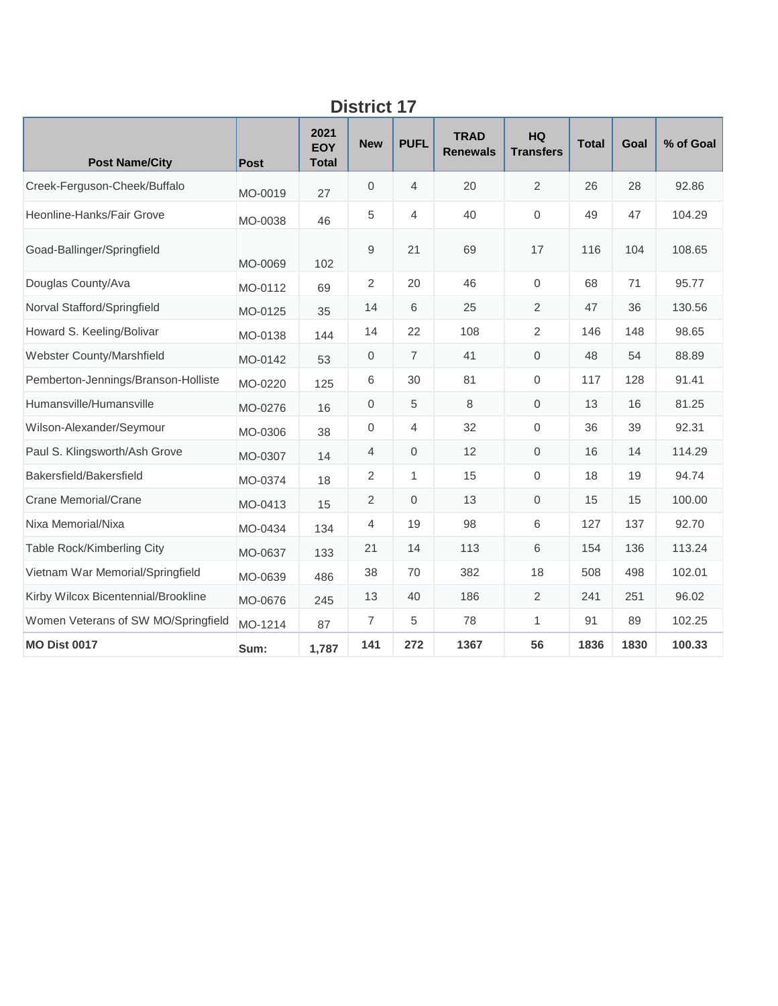| <b>Post Name/City</b>               | <b>Post</b> | 2021<br><b>EOY</b><br><b>Total</b> | <b>New</b>     | <b>PUFL</b>    | <b>TRAD</b><br><b>Renewals</b> | <b>HQ</b><br><b>Transfers</b> | <b>Total</b> | Goal | % of Goal |  |
|-------------------------------------|-------------|------------------------------------|----------------|----------------|--------------------------------|-------------------------------|--------------|------|-----------|--|
| Creek-Ferguson-Cheek/Buffalo        | MO-0019     | 27                                 | $\mathbf{0}$   | $\overline{4}$ | 20                             | $\overline{2}$                | 26           | 28   | 92.86     |  |
| Heonline-Hanks/Fair Grove           | MO-0038     | 46                                 | 5              | $\overline{4}$ | 40                             | $\mathbf{0}$                  | 49           | 47   | 104.29    |  |
| Goad-Ballinger/Springfield          | MO-0069     | 102                                | 9              | 21             | 69                             | 17                            | 116          | 104  | 108.65    |  |
| Douglas County/Ava                  | MO-0112     | 69                                 | $\overline{2}$ | 20             | 46                             | $\mathbf 0$                   | 68           | 71   | 95.77     |  |
| Norval Stafford/Springfield         | MO-0125     | 35                                 | 14             | 6              | 25                             | 2                             | 47           | 36   | 130.56    |  |
| Howard S. Keeling/Bolivar           | MO-0138     | 144                                | 14             | 22             | 108                            | $\overline{2}$                | 146          | 148  | 98.65     |  |
| Webster County/Marshfield           | MO-0142     | 53                                 | $\mathbf 0$    | $\overline{7}$ | 41                             | $\mathbf 0$                   | 48           | 54   | 88.89     |  |
| Pemberton-Jennings/Branson-Holliste | MO-0220     | 125                                | 6              | 30             | 81                             | $\mathbf 0$                   | 117          | 128  | 91.41     |  |
| Humansville/Humansville             | MO-0276     | 16                                 | $\mathbf{0}$   | 5              | 8                              | $\mathbf{0}$                  | 13           | 16   | 81.25     |  |
| Wilson-Alexander/Seymour            | MO-0306     | 38                                 | $\mathbf 0$    | $\overline{4}$ | 32                             | $\mathbf 0$                   | 36           | 39   | 92.31     |  |
| Paul S. Klingsworth/Ash Grove       | MO-0307     | 14                                 | 4              | $\mathbf 0$    | 12                             | $\mathbf 0$                   | 16           | 14   | 114.29    |  |
| Bakersfield/Bakersfield             | MO-0374     | 18                                 | 2              | $\mathbf{1}$   | 15                             | $\mathsf{O}\xspace$           | 18           | 19   | 94.74     |  |
| <b>Crane Memorial/Crane</b>         | MO-0413     | 15                                 | 2              | $\mathbf{0}$   | 13                             | $\overline{0}$                | 15           | 15   | 100.00    |  |
| Nixa Memorial/Nixa                  | MO-0434     | 134                                | $\overline{4}$ | 19             | 98                             | 6                             | 127          | 137  | 92.70     |  |
| Table Rock/Kimberling City          | MO-0637     | 133                                | 21             | 14             | 113                            | 6                             | 154          | 136  | 113.24    |  |
| Vietnam War Memorial/Springfield    | MO-0639     | 486                                | 38             | 70             | 382                            | 18                            | 508          | 498  | 102.01    |  |
| Kirby Wilcox Bicentennial/Brookline | MO-0676     | 245                                | 13             | 40             | 186                            | $\overline{2}$                | 241          | 251  | 96.02     |  |
| Women Veterans of SW MO/Springfield | MO-1214     | 87                                 | $\overline{7}$ | 5              | 78                             | $\mathbf{1}$                  | 91           | 89   | 102.25    |  |
| <b>MO Dist 0017</b>                 | Sum:        | 1,787                              | 141            | 272            | 1367                           | 56                            | 1836         | 1830 | 100.33    |  |